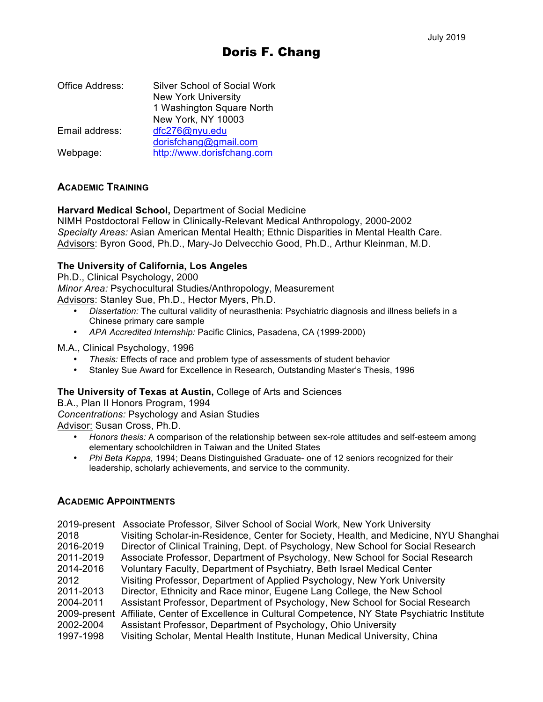| Office Address: | <b>Silver School of Social Work</b><br><b>New York University</b> |
|-----------------|-------------------------------------------------------------------|
|                 | 1 Washington Square North                                         |
|                 | New York, NY 10003                                                |
| Email address:  | dfc276@nyu.edu                                                    |
|                 | dorisfchang@gmail.com                                             |
| Webpage:        | http://www.dorisfchang.com                                        |

### **ACADEMIC TRAINING**

#### **Harvard Medical School,** Department of Social Medicine

NIMH Postdoctoral Fellow in Clinically-Relevant Medical Anthropology, 2000-2002 *Specialty Areas:* Asian American Mental Health; Ethnic Disparities in Mental Health Care. Advisors: Byron Good, Ph.D., Mary-Jo Delvecchio Good, Ph.D., Arthur Kleinman, M.D.

#### **The University of California, Los Angeles**

Ph.D., Clinical Psychology, 2000

*Minor Area:* Psychocultural Studies/Anthropology, Measurement

Advisors: Stanley Sue, Ph.D., Hector Myers, Ph.D.

- *Dissertation:* The cultural validity of neurasthenia: Psychiatric diagnosis and illness beliefs in a Chinese primary care sample
- *APA Accredited Internship:* Pacific Clinics, Pasadena, CA (1999-2000)

M.A., Clinical Psychology, 1996

- *Thesis:* Effects of race and problem type of assessments of student behavior
- Stanley Sue Award for Excellence in Research, Outstanding Master's Thesis, 1996

#### **The University of Texas at Austin,** College of Arts and Sciences

B.A., Plan II Honors Program, 1994 *Concentrations:* Psychology and Asian Studies Advisor: Susan Cross, Ph.D.

- *Honors thesis:* A comparison of the relationship between sex-role attitudes and self-esteem among elementary schoolchildren in Taiwan and the United States
- *Phi Beta Kappa,* 1994; Deans Distinguished Graduate- one of 12 seniors recognized for their leadership, scholarly achievements, and service to the community.

#### **ACADEMIC APPOINTMENTS**

|              | 2019-present Associate Professor, Silver School of Social Work, New York University    |
|--------------|----------------------------------------------------------------------------------------|
| 2018         | Visiting Scholar-in-Residence, Center for Society, Health, and Medicine, NYU Shanghai  |
| 2016-2019    | Director of Clinical Training, Dept. of Psychology, New School for Social Research     |
| 2011-2019    | Associate Professor, Department of Psychology, New School for Social Research          |
| 2014-2016    | Voluntary Faculty, Department of Psychiatry, Beth Israel Medical Center                |
| 2012         | Visiting Professor, Department of Applied Psychology, New York University              |
| 2011-2013    | Director, Ethnicity and Race minor, Eugene Lang College, the New School                |
| 2004-2011    | Assistant Professor, Department of Psychology, New School for Social Research          |
| 2009-present | Affiliate, Center of Excellence in Cultural Competence, NY State Psychiatric Institute |
| 2002-2004    | Assistant Professor, Department of Psychology, Ohio University                         |
| 1997-1998    | Visiting Scholar, Mental Health Institute, Hunan Medical University, China             |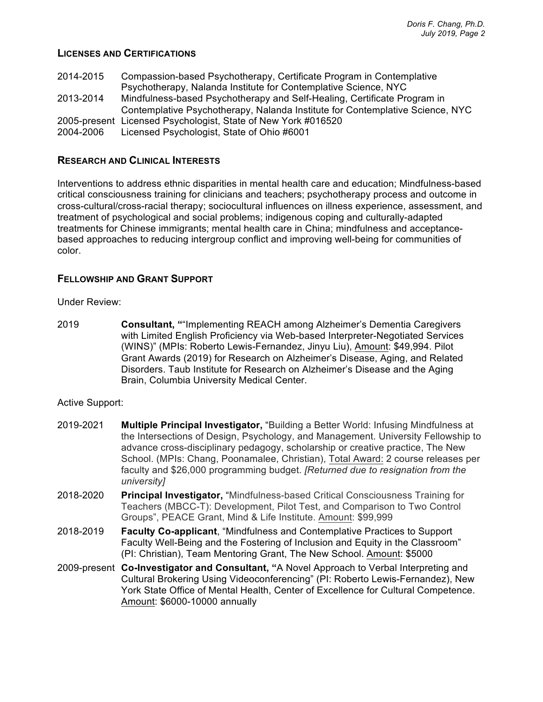## **LICENSES AND CERTIFICATIONS**

| 2014-2015 | Compassion-based Psychotherapy, Certificate Program in Contemplative          |
|-----------|-------------------------------------------------------------------------------|
|           | Psychotherapy, Nalanda Institute for Contemplative Science, NYC               |
| 2013-2014 | Mindfulness-based Psychotherapy and Self-Healing, Certificate Program in      |
|           | Contemplative Psychotherapy, Nalanda Institute for Contemplative Science, NYC |
|           | 2005-present Licensed Psychologist, State of New York #016520                 |
| 2004-2006 | Licensed Psychologist, State of Ohio #6001                                    |

## **RESEARCH AND CLINICAL INTERESTS**

Interventions to address ethnic disparities in mental health care and education; Mindfulness-based critical consciousness training for clinicians and teachers; psychotherapy process and outcome in cross-cultural/cross-racial therapy; sociocultural influences on illness experience, assessment, and treatment of psychological and social problems; indigenous coping and culturally-adapted treatments for Chinese immigrants; mental health care in China; mindfulness and acceptancebased approaches to reducing intergroup conflict and improving well-being for communities of color.

### **FELLOWSHIP AND GRANT SUPPORT**

Under Review:

2019 **Consultant, "**"Implementing REACH among Alzheimer's Dementia Caregivers with Limited English Proficiency via Web-based Interpreter-Negotiated Services (WINS)" (MPIs: Roberto Lewis-Fernandez, Jinyu Liu), Amount: \$49,994. Pilot Grant Awards (2019) for Research on Alzheimer's Disease, Aging, and Related Disorders. Taub Institute for Research on Alzheimer's Disease and the Aging Brain, Columbia University Medical Center.

#### Active Support:

- 2019-2021 **Multiple Principal Investigator,** "Building a Better World: Infusing Mindfulness at the Intersections of Design, Psychology, and Management. University Fellowship to advance cross-disciplinary pedagogy, scholarship or creative practice, The New School. (MPIs: Chang, Poonamalee, Christian), Total Award: 2 course releases per faculty and \$26,000 programming budget. *[Returned due to resignation from the university]*
- 2018-2020 **Principal Investigator,** "Mindfulness-based Critical Consciousness Training for Teachers (MBCC-T): Development, Pilot Test, and Comparison to Two Control Groups", PEACE Grant, Mind & Life Institute. Amount: \$99,999
- 2018-2019 **Faculty Co-applicant**, "Mindfulness and Contemplative Practices to Support Faculty Well-Being and the Fostering of Inclusion and Equity in the Classroom" (PI: Christian), Team Mentoring Grant, The New School. Amount: \$5000
- 2009-present **Co-Investigator and Consultant, "**A Novel Approach to Verbal Interpreting and Cultural Brokering Using Videoconferencing" (PI: Roberto Lewis-Fernandez), New York State Office of Mental Health, Center of Excellence for Cultural Competence. Amount: \$6000-10000 annually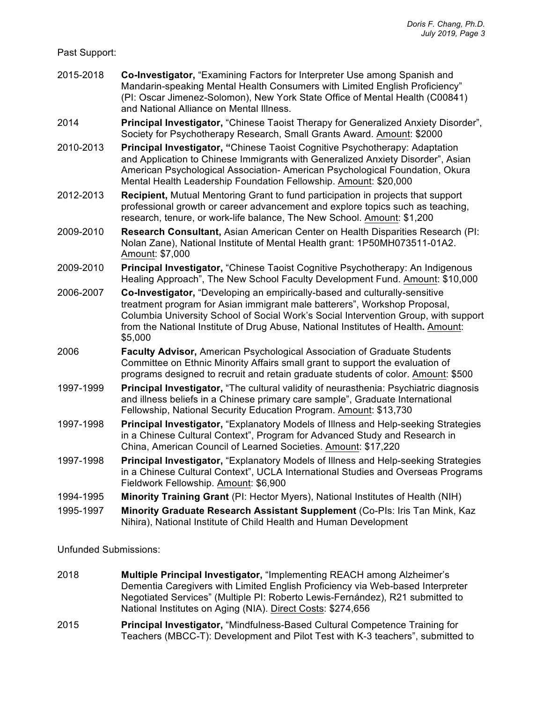Past Support:

- 2015-2018 **Co-Investigator,** "Examining Factors for Interpreter Use among Spanish and Mandarin-speaking Mental Health Consumers with Limited English Proficiency" (PI: Oscar Jimenez-Solomon), New York State Office of Mental Health (C00841) and National Alliance on Mental Illness.
- 2014 **Principal Investigator,** "Chinese Taoist Therapy for Generalized Anxiety Disorder", Society for Psychotherapy Research, Small Grants Award. Amount: \$2000
- 2010-2013 **Principal Investigator, "**Chinese Taoist Cognitive Psychotherapy: Adaptation and Application to Chinese Immigrants with Generalized Anxiety Disorder", Asian American Psychological Association- American Psychological Foundation, Okura Mental Health Leadership Foundation Fellowship. Amount: \$20,000
- 2012-2013 **Recipient,** Mutual Mentoring Grant to fund participation in projects that support professional growth or career advancement and explore topics such as teaching, research, tenure, or work-life balance, The New School. Amount: \$1,200
- 2009-2010 **Research Consultant,** Asian American Center on Health Disparities Research (PI: Nolan Zane), National Institute of Mental Health grant: 1P50MH073511-01A2. Amount: \$7,000
- 2009-2010 **Principal Investigator,** "Chinese Taoist Cognitive Psychotherapy: An Indigenous Healing Approach", The New School Faculty Development Fund. Amount: \$10,000
- 2006-2007 **Co-Investigator,** "Developing an empirically-based and culturally-sensitive treatment program for Asian immigrant male batterers", Workshop Proposal, Columbia University School of Social Work's Social Intervention Group, with support from the National Institute of Drug Abuse, National Institutes of Health**.** Amount: \$5,000
- 2006 **Faculty Advisor,** American Psychological Association of Graduate Students Committee on Ethnic Minority Affairs small grant to support the evaluation of programs designed to recruit and retain graduate students of color. Amount: \$500
- 1997-1999 **Principal Investigator,** "The cultural validity of neurasthenia: Psychiatric diagnosis and illness beliefs in a Chinese primary care sample", Graduate International Fellowship, National Security Education Program. Amount: \$13,730
- 1997-1998 **Principal Investigator,** "Explanatory Models of Illness and Help-seeking Strategies in a Chinese Cultural Context", Program for Advanced Study and Research in China, American Council of Learned Societies. Amount: \$17,220
- 1997-1998 **Principal Investigator,** "Explanatory Models of Illness and Help-seeking Strategies in a Chinese Cultural Context", UCLA International Studies and Overseas Programs Fieldwork Fellowship. Amount: \$6,900
- 1994-1995 **Minority Training Grant** (PI: Hector Myers), National Institutes of Health (NIH)
- 1995-1997 **Minority Graduate Research Assistant Supplement** (Co-PIs: Iris Tan Mink, Kaz Nihira), National Institute of Child Health and Human Development

Unfunded Submissions:

- 2018 **Multiple Principal Investigator,** "Implementing REACH among Alzheimer's Dementia Caregivers with Limited English Proficiency via Web-based Interpreter Negotiated Services" (Multiple PI: Roberto Lewis-Fernández), R21 submitted to National Institutes on Aging (NIA). Direct Costs: \$274,656
- 2015 **Principal Investigator,** "Mindfulness-Based Cultural Competence Training for Teachers (MBCC-T): Development and Pilot Test with K-3 teachers", submitted to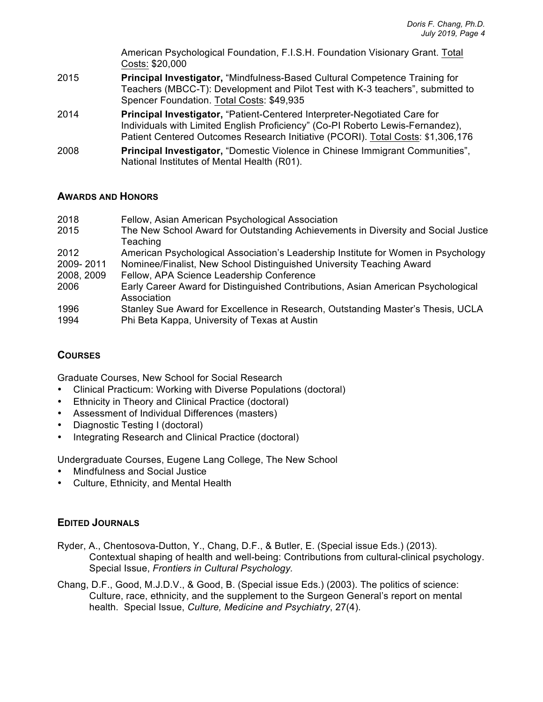American Psychological Foundation, F.I.S.H. Foundation Visionary Grant. Total Costs: \$20,000

- 2015 **Principal Investigator,** "Mindfulness-Based Cultural Competence Training for Teachers (MBCC-T): Development and Pilot Test with K-3 teachers", submitted to Spencer Foundation. Total Costs: \$49,935
- 2014 **Principal Investigator,** "Patient-Centered Interpreter-Negotiated Care for Individuals with Limited English Proficiency" (Co-PI Roberto Lewis-Fernandez), Patient Centered Outcomes Research Initiative (PCORI). Total Costs: \$1,306,176
- 2008 **Principal Investigator,** "Domestic Violence in Chinese Immigrant Communities", National Institutes of Mental Health (R01).

### **AWARDS AND HONORS**

| 2018       | Fellow, Asian American Psychological Association                                                |
|------------|-------------------------------------------------------------------------------------------------|
| 2015       | The New School Award for Outstanding Achievements in Diversity and Social Justice               |
| 2012       | Teaching<br>American Psychological Association's Leadership Institute for Women in Psychology   |
| 2009-2011  | Nominee/Finalist, New School Distinguished University Teaching Award                            |
| 2008, 2009 | Fellow, APA Science Leadership Conference                                                       |
| 2006       | Early Career Award for Distinguished Contributions, Asian American Psychological<br>Association |
| 1996       | Stanley Sue Award for Excellence in Research, Outstanding Master's Thesis, UCLA                 |
| 1994       | Phi Beta Kappa, University of Texas at Austin                                                   |

# **COURSES**

Graduate Courses, New School for Social Research

- Clinical Practicum: Working with Diverse Populations (doctoral)
- Ethnicity in Theory and Clinical Practice (doctoral)
- Assessment of Individual Differences (masters)
- Diagnostic Testing I (doctoral)
- Integrating Research and Clinical Practice (doctoral)

Undergraduate Courses, Eugene Lang College, The New School

- Mindfulness and Social Justice
- Culture, Ethnicity, and Mental Health

### **EDITED JOURNALS**

- Ryder, A., Chentosova-Dutton, Y., Chang, D.F., & Butler, E. (Special issue Eds.) (2013). Contextual shaping of health and well-being: Contributions from cultural-clinical psychology. Special Issue, *Frontiers in Cultural Psychology.*
- Chang, D.F., Good, M.J.D.V., & Good, B. (Special issue Eds.) (2003). The politics of science: Culture, race, ethnicity, and the supplement to the Surgeon General's report on mental health. Special Issue, *Culture, Medicine and Psychiatry*, 27(4).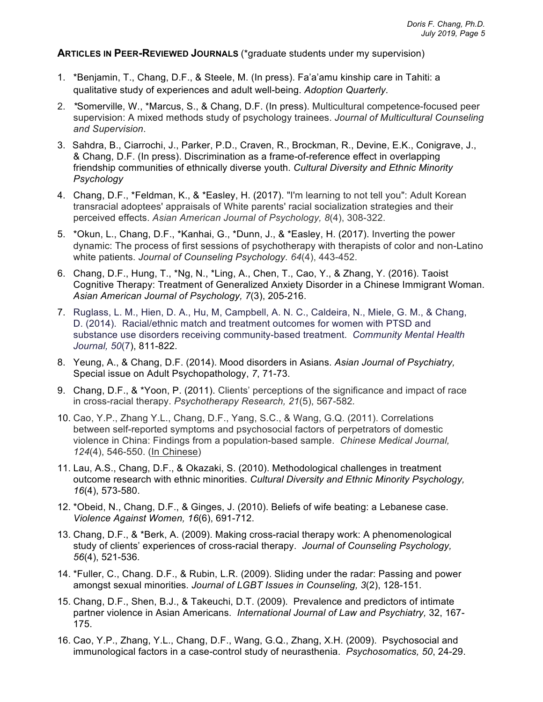**ARTICLES IN PEER-REVIEWED JOURNALS** (\*graduate students under my supervision)

- 1. \*Benjamin, T., Chang, D.F., & Steele, M. (In press). Fa'a'amu kinship care in Tahiti: a qualitative study of experiences and adult well-being. *Adoption Quarterly*.
- 2. *\**Somerville, W., \*Marcus, S., & Chang, D.F. (In press). Multicultural competence-focused peer supervision: A mixed methods study of psychology trainees. *Journal of Multicultural Counseling and Supervision*.
- 3. Sahdra, B., Ciarrochi, J., Parker, P.D., Craven, R., Brockman, R., Devine, E.K., Conigrave, J., & Chang, D.F. (In press). Discrimination as a frame-of-reference effect in overlapping friendship communities of ethnically diverse youth. *Cultural Diversity and Ethnic Minority Psychology*
- 4. Chang, D.F., \*Feldman, K., & \*Easley, H. (2017). "I'm learning to not tell you": Adult Korean transracial adoptees' appraisals of White parents' racial socialization strategies and their perceived effects. *Asian American Journal of Psychology, 8*(4), 308-322.
- 5. \*Okun, L., Chang, D.F., \*Kanhai, G., \*Dunn, J., & \*Easley, H. (2017). Inverting the power dynamic: The process of first sessions of psychotherapy with therapists of color and non-Latino white patients. *Journal of Counseling Psychology. 64*(4), 443-452.
- 6. Chang, D.F., Hung, T., \*Ng, N., \*Ling, A., Chen, T., Cao, Y., & Zhang, Y. (2016). Taoist Cognitive Therapy: Treatment of Generalized Anxiety Disorder in a Chinese Immigrant Woman. *Asian American Journal of Psychology, 7*(3), 205-216.
- 7. Ruglass, L. M., Hien, D. A., Hu, M, Campbell, A. N. C., Caldeira, N., Miele, G. M., & Chang, D. (2014). Racial/ethnic match and treatment outcomes for women with PTSD and substance use disorders receiving community-based treatment. *Community Mental Health Journal, 50*(7), 811-822.
- 8. Yeung, A., & Chang, D.F. (2014). Mood disorders in Asians. *Asian Journal of Psychiatry,*  Special issue on Adult Psychopathology, *7*, 71-73.
- 9. Chang, D.F., & \*Yoon, P. (2011). Clients' perceptions of the significance and impact of race in cross-racial therapy. *Psychotherapy Research, 21*(5), 567-582*.*
- 10. Cao, Y.P., Zhang Y.L., Chang, D.F., Yang, S.C., & Wang, G.Q. (2011). Correlations between self-reported symptoms and psychosocial factors of perpetrators of domestic violence in China: Findings from a population-based sample. *Chinese Medical Journal, 124*(4), 546-550. (In Chinese)
- 11. Lau, A.S., Chang, D.F., & Okazaki, S. (2010). Methodological challenges in treatment outcome research with ethnic minorities. *Cultural Diversity and Ethnic Minority Psychology, 16*(4), 573-580.
- 12. \*Obeid, N., Chang, D.F., & Ginges, J. (2010). Beliefs of wife beating: a Lebanese case. *Violence Against Women, 16*(6), 691-712.
- 13. Chang, D.F., & \*Berk, A. (2009). Making cross-racial therapy work: A phenomenological study of clients' experiences of cross-racial therapy. *Journal of Counseling Psychology, 56*(4), 521-536*.*
- 14. \*Fuller, C., Chang. D.F., & Rubin, L.R. (2009). Sliding under the radar: Passing and power amongst sexual minorities. *Journal of LGBT Issues in Counseling, 3*(2), 128-151*.*
- 15. Chang, D.F., Shen, B.J., & Takeuchi, D.T. (2009). Prevalence and predictors of intimate partner violence in Asian Americans. *International Journal of Law and Psychiatry,* 32, 167- 175.
- 16. Cao, Y.P., Zhang, Y.L., Chang, D.F., Wang, G.Q., Zhang, X.H. (2009). Psychosocial and immunological factors in a case-control study of neurasthenia. *Psychosomatics, 50*, 24-29.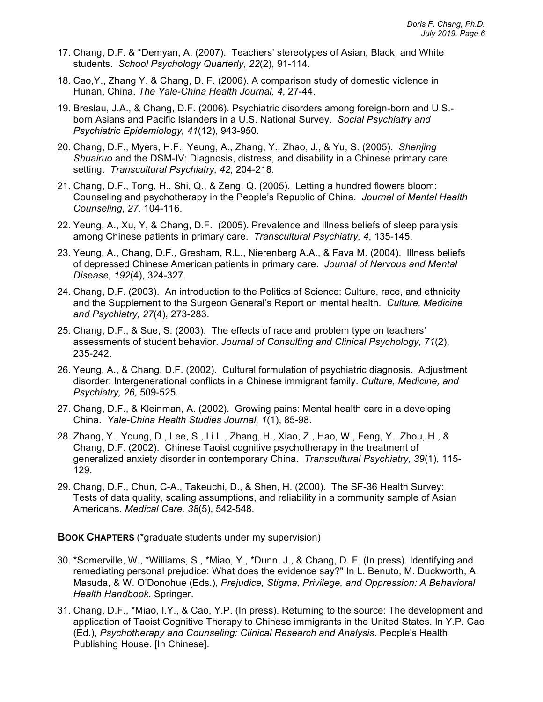- 17. Chang, D.F. & \*Demyan, A. (2007). Teachers' stereotypes of Asian, Black, and White students. *School Psychology Quarterly*, *22*(2), 91-114.
- 18. Cao,Y., Zhang Y. & Chang, D. F. (2006). A comparison study of domestic violence in Hunan, China. *The Yale-China Health Journal, 4*, 27-44.
- 19. Breslau, J.A., & Chang, D.F. (2006). Psychiatric disorders among foreign-born and U.S. born Asians and Pacific Islanders in a U.S. National Survey. *Social Psychiatry and Psychiatric Epidemiology, 41*(12), 943-950.
- 20. Chang, D.F., Myers, H.F., Yeung, A., Zhang, Y., Zhao, J., & Yu, S. (2005). *Shenjing Shuairuo* and the DSM-IV: Diagnosis, distress, and disability in a Chinese primary care setting. *Transcultural Psychiatry, 42,* 204-218*.*
- 21. Chang, D.F., Tong, H., Shi, Q., & Zeng, Q. (2005). Letting a hundred flowers bloom: Counseling and psychotherapy in the People's Republic of China. *Journal of Mental Health Counseling*, *27,* 104-116.
- 22. Yeung, A., Xu, Y, & Chang, D.F. (2005). Prevalence and illness beliefs of sleep paralysis among Chinese patients in primary care. *Transcultural Psychiatry, 4*, 135-145.
- 23. Yeung, A., Chang, D.F., Gresham, R.L., Nierenberg A.A., & Fava M. (2004). Illness beliefs of depressed Chinese American patients in primary care. *Journal of Nervous and Mental Disease, 192*(4), 324-327.
- 24. Chang, D.F. (2003). An introduction to the Politics of Science: Culture, race, and ethnicity and the Supplement to the Surgeon General's Report on mental health. *Culture, Medicine and Psychiatry, 27*(4), 273-283.
- 25. Chang, D.F., & Sue, S. (2003). The effects of race and problem type on teachers' assessments of student behavior. *Journal of Consulting and Clinical Psychology, 71*(2), 235-242.
- 26. Yeung, A., & Chang, D.F. (2002). Cultural formulation of psychiatric diagnosis. Adjustment disorder: Intergenerational conflicts in a Chinese immigrant family. *Culture, Medicine, and Psychiatry, 26,* 509-525*.*
- 27. Chang, D.F., & Kleinman, A. (2002). Growing pains: Mental health care in a developing China. *Yale-China Health Studies Journal, 1*(1), 85-98.
- 28. Zhang, Y., Young, D., Lee, S., Li L., Zhang, H., Xiao, Z., Hao, W., Feng, Y., Zhou, H., & Chang, D.F. (2002). Chinese Taoist cognitive psychotherapy in the treatment of generalized anxiety disorder in contemporary China. *Transcultural Psychiatry, 39*(1), 115- 129.
- 29. Chang, D.F., Chun, C-A., Takeuchi, D., & Shen, H. (2000). The SF-36 Health Survey: Tests of data quality, scaling assumptions, and reliability in a community sample of Asian Americans. *Medical Care, 38*(5), 542-548.

**BOOK CHAPTERS** (\*graduate students under my supervision)

- 30. \*Somerville, W., \*Williams, S., \*Miao, Y., \*Dunn, J., & Chang, D. F. (In press). Identifying and remediating personal prejudice: What does the evidence say?" In L. Benuto, M. Duckworth, A. Masuda, & W. O'Donohue (Eds.), *Prejudice, Stigma, Privilege, and Oppression: A Behavioral Health Handbook.* Springer.
- 31. Chang, D.F., \*Miao, I.Y., & Cao, Y.P. (In press). Returning to the source: The development and application of Taoist Cognitive Therapy to Chinese immigrants in the United States. In Y.P. Cao (Ed.), *Psychotherapy and Counseling: Clinical Research and Analysis*. People's Health Publishing House. [In Chinese].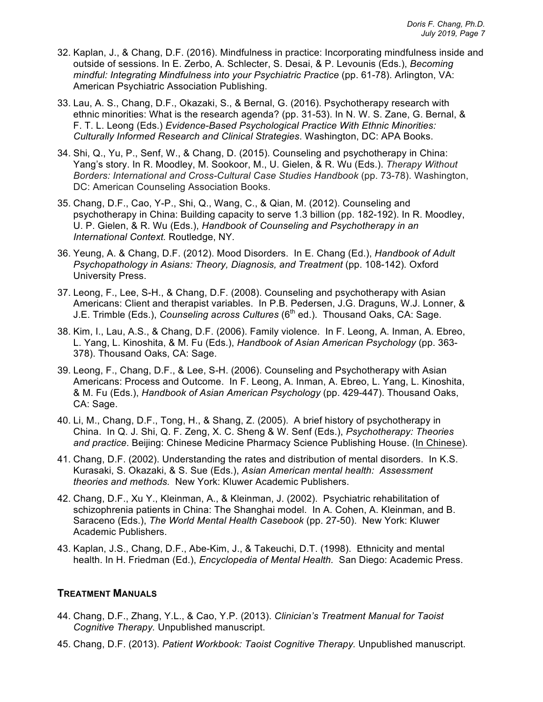- 32. Kaplan, J., & Chang, D.F. (2016). Mindfulness in practice: Incorporating mindfulness inside and outside of sessions. In E. Zerbo, A. Schlecter, S. Desai, & P. Levounis (Eds.), *Becoming mindful: Integrating Mindfulness into your Psychiatric Practice (pp. 61-78). Arlington, VA:* American Psychiatric Association Publishing.
- 33. Lau, A. S., Chang, D.F., Okazaki, S., & Bernal, G. (2016). Psychotherapy research with ethnic minorities: What is the research agenda? (pp. 31-53). In N. W. S. Zane, G. Bernal, & F. T. L. Leong (Eds.) *Evidence-Based Psychological Practice With Ethnic Minorities: Culturally Informed Research and Clinical Strategies*. Washington, DC: APA Books.
- 34. Shi, Q., Yu, P., Senf, W., & Chang, D. (2015). Counseling and psychotherapy in China: Yang's story. In R. Moodley, M. Sookoor, M., U. Gielen, & R. Wu (Eds.). *Therapy Without Borders: International and Cross-Cultural Case Studies Handbook* (pp. 73-78). Washington, DC: American Counseling Association Books.
- 35. Chang, D.F., Cao, Y-P., Shi, Q., Wang, C., & Qian, M. (2012). Counseling and psychotherapy in China: Building capacity to serve 1.3 billion (pp. 182-192). In R. Moodley, U. P. Gielen, & R. Wu (Eds.), *Handbook of Counseling and Psychotherapy in an International Context.* Routledge, NY*.*
- 36. Yeung, A. & Chang, D.F. (2012). Mood Disorders. In E. Chang (Ed.), *Handbook of Adult Psychopathology in Asians: Theory, Diagnosis, and Treatment* (pp. 108-142)*.* Oxford University Press.
- 37. Leong, F., Lee, S-H., & Chang, D.F. (2008). Counseling and psychotherapy with Asian Americans: Client and therapist variables. In P.B. Pedersen, J.G. Draguns, W.J. Lonner, & J.E. Trimble (Eds.), *Counseling across Cultures* (6<sup>th</sup> ed.). Thousand Oaks, CA: Sage.
- 38. Kim, I., Lau, A.S., & Chang, D.F. (2006). Family violence. In F. Leong, A. Inman, A. Ebreo, L. Yang, L. Kinoshita, & M. Fu (Eds.), *Handbook of Asian American Psychology* (pp. 363- 378). Thousand Oaks, CA: Sage.
- 39. Leong, F., Chang, D.F., & Lee, S-H. (2006). Counseling and Psychotherapy with Asian Americans: Process and Outcome. In F. Leong, A. Inman, A. Ebreo, L. Yang, L. Kinoshita, & M. Fu (Eds.), *Handbook of Asian American Psychology* (pp. 429-447). Thousand Oaks, CA: Sage.
- 40. Li, M., Chang, D.F., Tong, H., & Shang, Z. (2005). A brief history of psychotherapy in China. In Q. J. Shi, Q. F. Zeng, X. C. Sheng & W. Senf (Eds.), *Psychotherapy: Theories and practice*. Beijing: Chinese Medicine Pharmacy Science Publishing House. (In Chinese)*.*
- 41. Chang, D.F. (2002). Understanding the rates and distribution of mental disorders. In K.S. Kurasaki, S. Okazaki, & S. Sue (Eds.), *Asian American mental health: Assessment theories and methods.* New York: Kluwer Academic Publishers.
- 42. Chang, D.F., Xu Y., Kleinman, A., & Kleinman, J. (2002). Psychiatric rehabilitation of schizophrenia patients in China: The Shanghai model. In A. Cohen, A. Kleinman, and B. Saraceno (Eds.), *The World Mental Health Casebook* (pp. 27-50). New York: Kluwer Academic Publishers.
- 43. Kaplan, J.S., Chang, D.F., Abe-Kim, J., & Takeuchi, D.T. (1998). Ethnicity and mental health. In H. Friedman (Ed.), *Encyclopedia of Mental Health.* San Diego: Academic Press.

### **TREATMENT MANUALS**

- 44. Chang, D.F., Zhang, Y.L., & Cao, Y.P. (2013). *Clinician's Treatment Manual for Taoist Cognitive Therapy.* Unpublished manuscript.
- 45. Chang, D.F. (2013). *Patient Workbook: Taoist Cognitive Therapy.* Unpublished manuscript.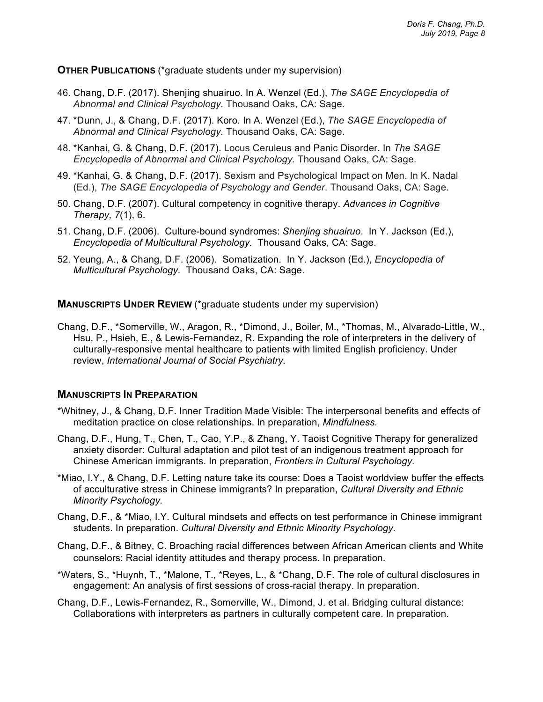#### **OTHER PUBLICATIONS** (\*graduate students under my supervision)

- 46. Chang, D.F. (2017). Shenjing shuairuo*.* In A. Wenzel (Ed.), *The SAGE Encyclopedia of Abnormal and Clinical Psychology.* Thousand Oaks, CA: Sage.
- 47. \*Dunn, J., & Chang, D.F. (2017). Koro*.* In A. Wenzel (Ed.), *The SAGE Encyclopedia of Abnormal and Clinical Psychology.* Thousand Oaks, CA: Sage.
- 48. \*Kanhai, G. & Chang, D.F. (2017). Locus Ceruleus and Panic Disorder. In *The SAGE Encyclopedia of Abnormal and Clinical Psychology.* Thousand Oaks, CA: Sage.
- 49. \*Kanhai, G. & Chang, D.F. (2017). Sexism and Psychological Impact on Men. In K. Nadal (Ed.), *The SAGE Encyclopedia of Psychology and Gender*. Thousand Oaks, CA: Sage.
- 50. Chang, D.F. (2007). Cultural competency in cognitive therapy. *Advances in Cognitive Therapy, 7*(1), 6.
- 51. Chang, D.F. (2006). Culture-bound syndromes: *Shenjing shuairuo*. In Y. Jackson (Ed.), *Encyclopedia of Multicultural Psychology.* Thousand Oaks, CA: Sage.
- 52. Yeung, A., & Chang, D.F. (2006). Somatization. In Y. Jackson (Ed.), *Encyclopedia of Multicultural Psychology.* Thousand Oaks, CA: Sage.

#### **MANUSCRIPTS UNDER REVIEW** (\*graduate students under my supervision)

Chang, D.F., \*Somerville, W., Aragon, R., \*Dimond, J., Boiler, M., \*Thomas, M., Alvarado-Little, W., Hsu, P., Hsieh, E., & Lewis-Fernandez, R. Expanding the role of interpreters in the delivery of culturally-responsive mental healthcare to patients with limited English proficiency. Under review, *International Journal of Social Psychiatry.*

#### **MANUSCRIPTS IN PREPARATION**

- \*Whitney, J., & Chang, D.F. Inner Tradition Made Visible: The interpersonal benefits and effects of meditation practice on close relationships. In preparation, *Mindfulness.*
- Chang, D.F., Hung, T., Chen, T., Cao, Y.P., & Zhang, Y. Taoist Cognitive Therapy for generalized anxiety disorder: Cultural adaptation and pilot test of an indigenous treatment approach for Chinese American immigrants. In preparation, *Frontiers in Cultural Psychology.*
- \*Miao, I.Y., & Chang, D.F. Letting nature take its course: Does a Taoist worldview buffer the effects of acculturative stress in Chinese immigrants? In preparation, *Cultural Diversity and Ethnic Minority Psychology.*
- Chang, D.F., & \*Miao, I.Y. Cultural mindsets and effects on test performance in Chinese immigrant students. In preparation. *Cultural Diversity and Ethnic Minority Psychology.*
- Chang, D.F., & Bitney, C. Broaching racial differences between African American clients and White counselors: Racial identity attitudes and therapy process. In preparation.
- \*Waters, S., \*Huynh, T., \*Malone, T., \*Reyes, L., & \*Chang, D.F*.* The role of cultural disclosures in engagement: An analysis of first sessions of cross-racial therapy. In preparation.
- Chang, D.F., Lewis-Fernandez, R., Somerville, W., Dimond, J. et al. Bridging cultural distance: Collaborations with interpreters as partners in culturally competent care. In preparation.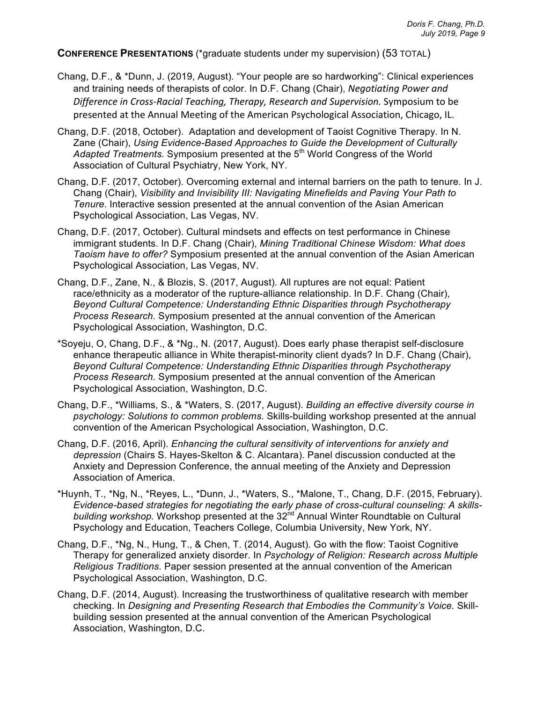**CONFERENCE PRESENTATIONS** (\*graduate students under my supervision) (53 TOTAL)

- Chang, D.F., & \*Dunn, J. (2019, August). "Your people are so hardworking": Clinical experiences and training needs of therapists of color. In D.F. Chang (Chair), *Negotiating Power and* Difference in Cross-Racial Teaching, Therapy, Research and Supervision. Symposium to be presented at the Annual Meeting of the American Psychological Association, Chicago, IL.
- Chang, D.F. (2018, October). Adaptation and development of Taoist Cognitive Therapy. In N. Zane (Chair), *Using Evidence-Based Approaches to Guide the Development of Culturally*  Adapted Treatments. Symposium presented at the 5<sup>th</sup> World Congress of the World Association of Cultural Psychiatry, New York, NY.
- Chang, D.F. (2017, October). Overcoming external and internal barriers on the path to tenure. In J. Chang (Chair), *Visibility and Invisibility III: Navigating Minefields and Paving Your Path to Tenure*. Interactive session presented at the annual convention of the Asian American Psychological Association, Las Vegas, NV.
- Chang, D.F. (2017, October). Cultural mindsets and effects on test performance in Chinese immigrant students. In D.F. Chang (Chair), *Mining Traditional Chinese Wisdom: What does Taoism have to offer?* Symposium presented at the annual convention of the Asian American Psychological Association, Las Vegas, NV.
- Chang, D.F., Zane, N., & Blozis, S. (2017, August). All ruptures are not equal: Patient race/ethnicity as a moderator of the rupture-alliance relationship. In D.F. Chang (Chair), *Beyond Cultural Competence: Understanding Ethnic Disparities through Psychotherapy Process Research.* Symposium presented at the annual convention of the American Psychological Association, Washington, D.C.
- \*Soyeju, O, Chang, D.F., & \*Ng., N. (2017, August). Does early phase therapist self-disclosure enhance therapeutic alliance in White therapist-minority client dyads? In D.F. Chang (Chair), *Beyond Cultural Competence: Understanding Ethnic Disparities through Psychotherapy Process Research.* Symposium presented at the annual convention of the American Psychological Association, Washington, D.C.
- Chang, D.F., \*Williams, S., & \*Waters, S. (2017, August). *Building an effective diversity course in psychology: Solutions to common problems.* Skills-building workshop presented at the annual convention of the American Psychological Association, Washington, D.C.
- Chang, D.F. (2016, April). *Enhancing the cultural sensitivity of interventions for anxiety and depression* (Chairs S. Hayes-Skelton & C. Alcantara). Panel discussion conducted at the Anxiety and Depression Conference, the annual meeting of the Anxiety and Depression Association of America.
- \*Huynh, T., \*Ng, N., \*Reyes, L., \*Dunn, J., \*Waters, S., \*Malone, T., Chang, D.F. (2015, February). *Evidence-based strategies for negotiating the early phase of cross-cultural counseling: A skillsbuilding workshop.* Workshop presented at the 32<sup>nd</sup> Annual Winter Roundtable on Cultural Psychology and Education, Teachers College, Columbia University, New York, NY.
- Chang, D.F., \*Ng, N., Hung, T., & Chen, T. (2014, August). Go with the flow: Taoist Cognitive Therapy for generalized anxiety disorder. In *Psychology of Religion: Research across Multiple Religious Traditions.* Paper session presented at the annual convention of the American Psychological Association, Washington, D.C.
- Chang, D.F. (2014, August). Increasing the trustworthiness of qualitative research with member checking. In *Designing and Presenting Research that Embodies the Community's Voice.* Skillbuilding session presented at the annual convention of the American Psychological Association, Washington, D.C.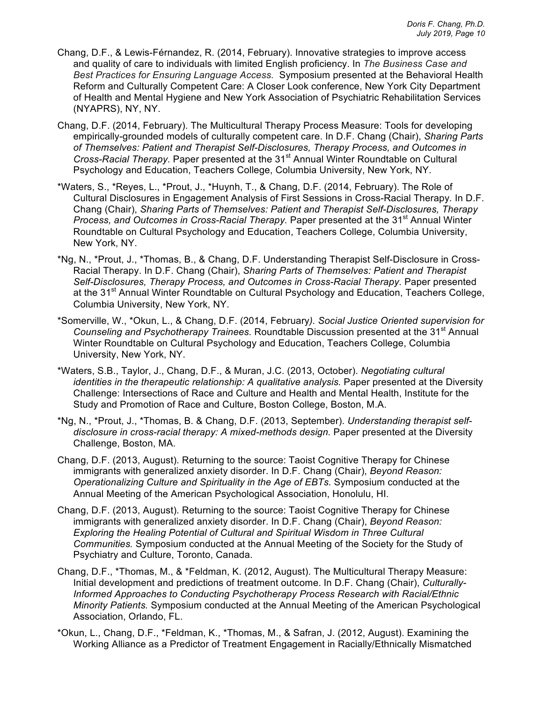- Chang, D.F., & Lewis-Férnandez, R. (2014, February). Innovative strategies to improve access and quality of care to individuals with limited English proficiency. In *The Business Case and Best Practices for Ensuring Language Access.* Symposium presented at the Behavioral Health Reform and Culturally Competent Care: A Closer Look conference, New York City Department of Health and Mental Hygiene and New York Association of Psychiatric Rehabilitation Services (NYAPRS), NY, NY.
- Chang, D.F. (2014, February). The Multicultural Therapy Process Measure: Tools for developing empirically-grounded models of culturally competent care. In D.F. Chang (Chair), *Sharing Parts of Themselves: Patient and Therapist Self-Disclosures, Therapy Process, and Outcomes in Cross-Racial Therapy.* Paper presented at the 31<sup>st</sup> Annual Winter Roundtable on Cultural Psychology and Education, Teachers College, Columbia University, New York, NY.
- \*Waters, S., \*Reyes, L., \*Prout, J., \*Huynh, T., & Chang, D.F. (2014, February). The Role of Cultural Disclosures in Engagement Analysis of First Sessions in Cross-Racial Therapy*.* In D.F. Chang (Chair), *Sharing Parts of Themselves: Patient and Therapist Self-Disclosures, Therapy Process, and Outcomes in Cross-Racial Therapy.* Paper presented at the 31<sup>st</sup> Annual Winter Roundtable on Cultural Psychology and Education, Teachers College, Columbia University, New York, NY.
- \*Ng, N., \*Prout, J., \*Thomas, B., & Chang, D.F. Understanding Therapist Self-Disclosure in Cross-Racial Therapy. In D.F. Chang (Chair), *Sharing Parts of Themselves: Patient and Therapist*  Self-Disclosures, Therapy Process, and Outcomes in Cross-Racial Therapy. Paper presented at the 31<sup>st</sup> Annual Winter Roundtable on Cultural Psychology and Education, Teachers College, Columbia University, New York, NY.
- \*Somerville, W., \*Okun, L., & Chang, D.F. (2014, February*). Social Justice Oriented supervision for Counseling and Psychotherapy Trainees.* Roundtable Discussion presented at the 31st Annual Winter Roundtable on Cultural Psychology and Education, Teachers College, Columbia University, New York, NY.
- \*Waters, S.B., Taylor, J., Chang, D.F., & Muran, J.C. (2013, October). *Negotiating cultural identities in the therapeutic relationship: A qualitative analysis.* Paper presented at the Diversity Challenge: Intersections of Race and Culture and Health and Mental Health, Institute for the Study and Promotion of Race and Culture, Boston College, Boston, M.A.
- \*Ng, N., \*Prout, J., \*Thomas, B. & Chang, D.F. (2013, September). *Understanding therapist selfdisclosure in cross-racial therapy: A mixed-methods design.* Paper presented at the Diversity Challenge, Boston, MA.
- Chang, D.F. (2013, August). Returning to the source: Taoist Cognitive Therapy for Chinese immigrants with generalized anxiety disorder. In D.F. Chang (Chair), *Beyond Reason: Operationalizing Culture and Spirituality in the Age of EBTs.* Symposium conducted at the Annual Meeting of the American Psychological Association, Honolulu, HI.
- Chang, D.F. (2013, August). Returning to the source: Taoist Cognitive Therapy for Chinese immigrants with generalized anxiety disorder. In D.F. Chang (Chair), *Beyond Reason: Exploring the Healing Potential of Cultural and Spiritual Wisdom in Three Cultural Communities.* Symposium conducted at the Annual Meeting of the Society for the Study of Psychiatry and Culture, Toronto, Canada.
- Chang, D.F., \*Thomas, M., & \*Feldman, K. (2012, August). The Multicultural Therapy Measure: Initial development and predictions of treatment outcome. In D.F. Chang (Chair), *Culturally-Informed Approaches to Conducting Psychotherapy Process Research with Racial/Ethnic Minority Patients.* Symposium conducted at the Annual Meeting of the American Psychological Association, Orlando, FL.
- \*Okun, L., Chang, D.F., \*Feldman, K., \*Thomas, M., & Safran, J. (2012, August). Examining the Working Alliance as a Predictor of Treatment Engagement in Racially/Ethnically Mismatched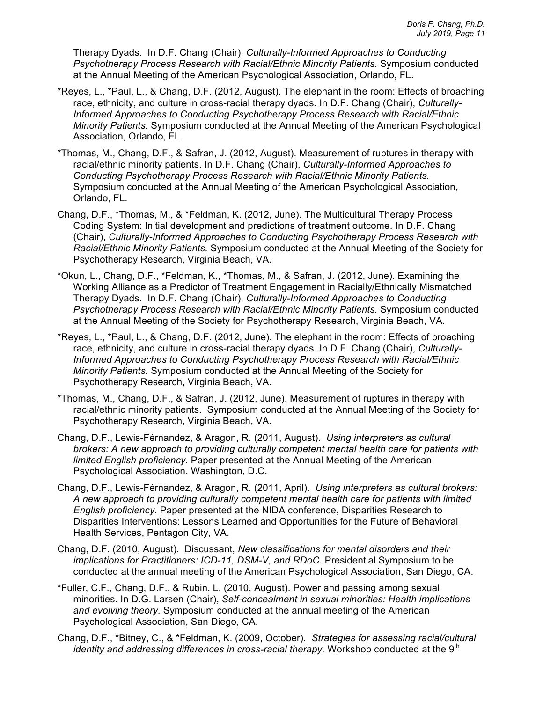Therapy Dyads. In D.F. Chang (Chair), *Culturally-Informed Approaches to Conducting Psychotherapy Process Research with Racial/Ethnic Minority Patients.* Symposium conducted at the Annual Meeting of the American Psychological Association, Orlando, FL.

- \*Reyes, L., \*Paul, L., & Chang, D.F. (2012, August). The elephant in the room: Effects of broaching race, ethnicity, and culture in cross-racial therapy dyads. In D.F. Chang (Chair), *Culturally-Informed Approaches to Conducting Psychotherapy Process Research with Racial/Ethnic Minority Patients.* Symposium conducted at the Annual Meeting of the American Psychological Association, Orlando, FL.
- \*Thomas, M., Chang, D.F., & Safran, J. (2012, August). Measurement of ruptures in therapy with racial/ethnic minority patients. In D.F. Chang (Chair), *Culturally-Informed Approaches to Conducting Psychotherapy Process Research with Racial/Ethnic Minority Patients.*  Symposium conducted at the Annual Meeting of the American Psychological Association, Orlando, FL.
- Chang, D.F., \*Thomas, M., & \*Feldman, K. (2012, June). The Multicultural Therapy Process Coding System: Initial development and predictions of treatment outcome. In D.F. Chang (Chair), *Culturally-Informed Approaches to Conducting Psychotherapy Process Research with Racial/Ethnic Minority Patients.* Symposium conducted at the Annual Meeting of the Society for Psychotherapy Research, Virginia Beach, VA.
- \*Okun, L., Chang, D.F., \*Feldman, K., \*Thomas, M., & Safran, J. (2012, June). Examining the Working Alliance as a Predictor of Treatment Engagement in Racially/Ethnically Mismatched Therapy Dyads. In D.F. Chang (Chair), *Culturally-Informed Approaches to Conducting Psychotherapy Process Research with Racial/Ethnic Minority Patients.* Symposium conducted at the Annual Meeting of the Society for Psychotherapy Research, Virginia Beach, VA.
- \*Reyes, L., \*Paul, L., & Chang, D.F. (2012, June). The elephant in the room: Effects of broaching race, ethnicity, and culture in cross-racial therapy dyads. In D.F. Chang (Chair), *Culturally-Informed Approaches to Conducting Psychotherapy Process Research with Racial/Ethnic Minority Patients.* Symposium conducted at the Annual Meeting of the Society for Psychotherapy Research, Virginia Beach, VA.
- \*Thomas, M., Chang, D.F., & Safran, J. (2012, June). Measurement of ruptures in therapy with racial/ethnic minority patients. Symposium conducted at the Annual Meeting of the Society for Psychotherapy Research, Virginia Beach, VA.
- Chang, D.F., Lewis-Férnandez, & Aragon, R. (2011, August). *Using interpreters as cultural brokers: A new approach to providing culturally competent mental health care for patients with limited English proficiency.* Paper presented at the Annual Meeting of the American Psychological Association, Washington, D.C.
- Chang, D.F., Lewis-Férnandez, & Aragon, R. (2011, April). *Using interpreters as cultural brokers: A new approach to providing culturally competent mental health care for patients with limited English proficiency.* Paper presented at the NIDA conference, Disparities Research to Disparities Interventions: Lessons Learned and Opportunities for the Future of Behavioral Health Services, Pentagon City, VA.
- Chang, D.F. (2010, August). Discussant, *New classifications for mental disorders and their implications for Practitioners: ICD-11, DSM-V, and RDoC.* Presidential Symposium to be conducted at the annual meeting of the American Psychological Association, San Diego, CA.
- \*Fuller, C.F., Chang, D.F., & Rubin, L. (2010, August). Power and passing among sexual minorities. In D.G. Larsen (Chair), *Self-concealment in sexual minorities: Health implications and evolving theory.* Symposium conducted at the annual meeting of the American Psychological Association, San Diego, CA.
- Chang, D.F., \*Bitney, C., & \*Feldman, K. (2009, October). *Strategies for assessing racial/cultural identity and addressing differences in cross-racial therapy.* Workshop conducted at the 9<sup>th</sup>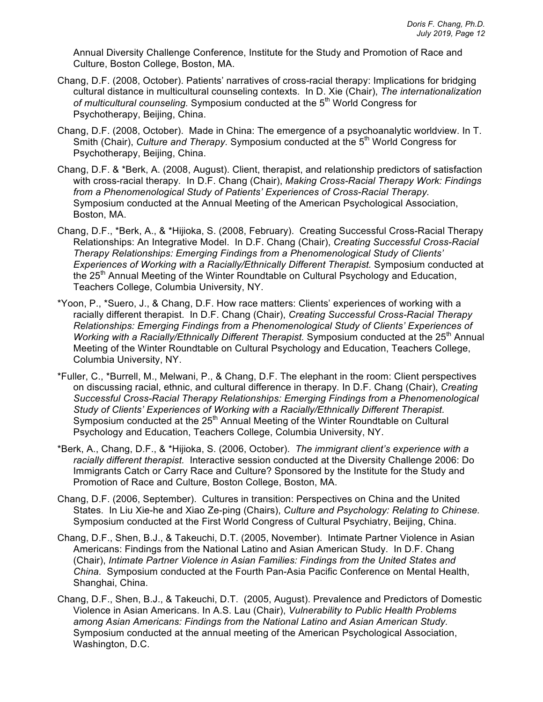Annual Diversity Challenge Conference, Institute for the Study and Promotion of Race and Culture, Boston College, Boston, MA.

- Chang, D.F. (2008, October). Patients' narratives of cross-racial therapy: Implications for bridging cultural distance in multicultural counseling contexts. In D. Xie (Chair), *The internationalization*  of multicultural counseling. Symposium conducted at the 5<sup>th</sup> World Congress for Psychotherapy, Beijing, China.
- Chang, D.F. (2008, October). Made in China: The emergence of a psychoanalytic worldview. In T. Smith (Chair), *Culture and Therapy*. Symposium conducted at the 5<sup>th</sup> World Congress for Psychotherapy, Beijing, China.
- Chang, D.F. & \*Berk, A. (2008, August). Client, therapist, and relationship predictors of satisfaction with cross-racial therapy*.* In D.F. Chang (Chair), *Making Cross-Racial Therapy Work: Findings from a Phenomenological Study of Patients' Experiences of Cross-Racial Therapy.* Symposium conducted at the Annual Meeting of the American Psychological Association, Boston, MA.
- Chang, D.F., \*Berk, A., & \*Hijioka, S. (2008, February). Creating Successful Cross-Racial Therapy Relationships: An Integrative Model. In D.F. Chang (Chair), *Creating Successful Cross-Racial Therapy Relationships: Emerging Findings from a Phenomenological Study of Clients' Experiences of Working with a Racially/Ethnically Different Therapist.* Symposium conducted at the 25<sup>th</sup> Annual Meeting of the Winter Roundtable on Cultural Psychology and Education, Teachers College, Columbia University, NY.
- \*Yoon, P., \*Suero, J., & Chang, D.F. How race matters: Clients' experiences of working with a racially different therapist. In D.F. Chang (Chair), *Creating Successful Cross-Racial Therapy Relationships: Emerging Findings from a Phenomenological Study of Clients' Experiences of Working with a Racially/Ethnically Different Therapist.* Symposium conducted at the 25<sup>th</sup> Annual Meeting of the Winter Roundtable on Cultural Psychology and Education, Teachers College, Columbia University, NY.
- \*Fuller, C., \*Burrell, M., Melwani, P., & Chang, D.F. The elephant in the room: Client perspectives on discussing racial, ethnic, and cultural difference in therapy*.* In D.F. Chang (Chair), *Creating Successful Cross-Racial Therapy Relationships: Emerging Findings from a Phenomenological Study of Clients' Experiences of Working with a Racially/Ethnically Different Therapist.*  Symposium conducted at the 25<sup>th</sup> Annual Meeting of the Winter Roundtable on Cultural Psychology and Education, Teachers College, Columbia University, NY.
- \*Berk, A., Chang, D.F., & \*Hijioka, S. (2006, October). *The immigrant client's experience with a racially different therapist.* Interactive session conducted at the Diversity Challenge 2006: Do Immigrants Catch or Carry Race and Culture? Sponsored by the Institute for the Study and Promotion of Race and Culture, Boston College, Boston, MA.
- Chang, D.F. (2006, September). Cultures in transition: Perspectives on China and the United States. In Liu Xie-he and Xiao Ze-ping (Chairs), *Culture and Psychology: Relating to Chinese.*  Symposium conducted at the First World Congress of Cultural Psychiatry, Beijing, China.
- Chang, D.F., Shen, B.J., & Takeuchi, D.T. (2005, November). Intimate Partner Violence in Asian Americans: Findings from the National Latino and Asian American Study. In D.F. Chang (Chair), *Intimate Partner Violence in Asian Families: Findings from the United States and China.* Symposium conducted at the Fourth Pan-Asia Pacific Conference on Mental Health, Shanghai, China.
- Chang, D.F., Shen, B.J., & Takeuchi, D.T. (2005, August). Prevalence and Predictors of Domestic Violence in Asian Americans. In A.S. Lau (Chair), *Vulnerability to Public Health Problems among Asian Americans: Findings from the National Latino and Asian American Study.* Symposium conducted at the annual meeting of the American Psychological Association, Washington, D.C.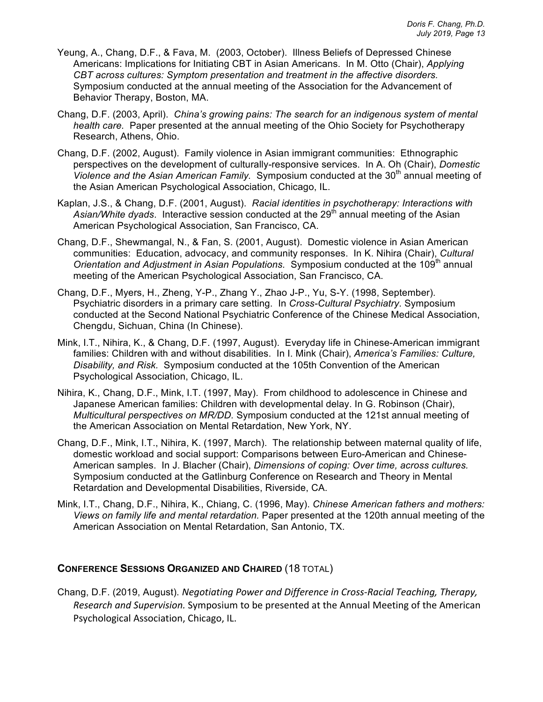- Yeung, A., Chang, D.F., & Fava, M. (2003, October). Illness Beliefs of Depressed Chinese Americans: Implications for Initiating CBT in Asian Americans. In M. Otto (Chair), *Applying CBT across cultures: Symptom presentation and treatment in the affective disorders.*  Symposium conducted at the annual meeting of the Association for the Advancement of Behavior Therapy, Boston, MA.
- Chang, D.F. (2003, April). *China's growing pains: The search for an indigenous system of mental health care.* Paper presented at the annual meeting of the Ohio Society for Psychotherapy Research, Athens, Ohio.
- Chang, D.F. (2002, August). Family violence in Asian immigrant communities: Ethnographic perspectives on the development of culturally-responsive services. In A. Oh (Chair), *Domestic Violence and the Asian American Family.* Symposium conducted at the 30<sup>th</sup> annual meeting of the Asian American Psychological Association, Chicago, IL.
- Kaplan, J.S., & Chang, D.F. (2001, August). *Racial identities in psychotherapy: Interactions with*  Asian/White dyads. Interactive session conducted at the 29<sup>th</sup> annual meeting of the Asian American Psychological Association, San Francisco, CA.
- Chang, D.F., Shewmangal, N., & Fan, S. (2001, August). Domestic violence in Asian American communities: Education, advocacy, and community responses. In K. Nihira (Chair), *Cultural Orientation and Adjustment in Asian Populations.* Symposium conducted at the 109<sup>th</sup> annual meeting of the American Psychological Association, San Francisco, CA.
- Chang, D.F., Myers, H., Zheng, Y-P., Zhang Y., Zhao J-P., Yu, S-Y. (1998, September). Psychiatric disorders in a primary care setting. In *Cross-Cultural Psychiatry*. Symposium conducted at the Second National Psychiatric Conference of the Chinese Medical Association, Chengdu, Sichuan, China (In Chinese).
- Mink, I.T., Nihira, K., & Chang, D.F. (1997, August). Everyday life in Chinese-American immigrant families: Children with and without disabilities. In I. Mink (Chair), *America's Families: Culture, Disability, and Risk.* Symposium conducted at the 105th Convention of the American Psychological Association, Chicago, IL.
- Nihira, K., Chang, D.F., Mink, I.T. (1997, May). From childhood to adolescence in Chinese and Japanese American families: Children with developmental delay. In G. Robinson (Chair), *Multicultural perspectives on MR/DD.* Symposium conducted at the 121st annual meeting of the American Association on Mental Retardation, New York, NY.
- Chang, D.F., Mink, I.T., Nihira, K. (1997, March). The relationship between maternal quality of life, domestic workload and social support: Comparisons between Euro-American and Chinese-American samples. In J. Blacher (Chair), *Dimensions of coping: Over time, across cultures.* Symposium conducted at the Gatlinburg Conference on Research and Theory in Mental Retardation and Developmental Disabilities, Riverside, CA.
- Mink, I.T., Chang, D.F., Nihira, K., Chiang, C. (1996, May). *Chinese American fathers and mothers: Views on family life and mental retardation.* Paper presented at the 120th annual meeting of the American Association on Mental Retardation, San Antonio, TX.

### **CONFERENCE SESSIONS ORGANIZED AND CHAIRED** (18 TOTAL)

Chang, D.F. (2019, August). *Negotiating Power and Difference in Cross-Racial Teaching, Therapy, Research and Supervision.* Symposium to be presented at the Annual Meeting of the American Psychological Association, Chicago, IL.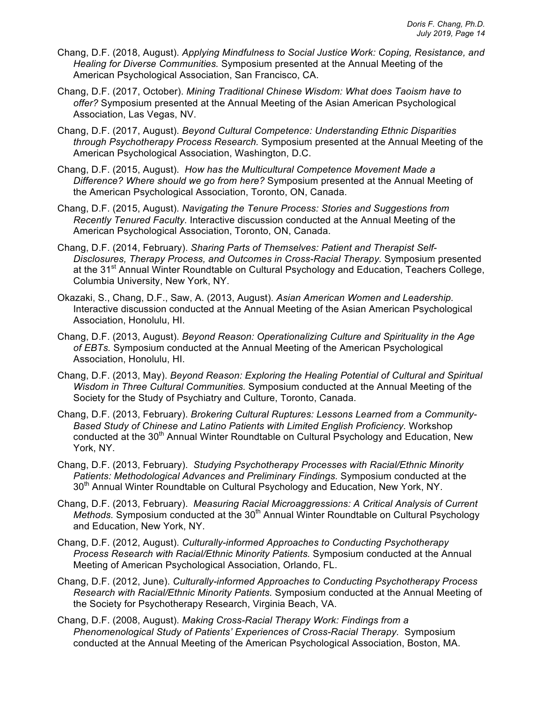- Chang, D.F. (2018, August). *Applying Mindfulness to Social Justice Work: Coping, Resistance, and Healing for Diverse Communities.* Symposium presented at the Annual Meeting of the American Psychological Association, San Francisco, CA.
- Chang, D.F. (2017, October). *Mining Traditional Chinese Wisdom: What does Taoism have to offer?* Symposium presented at the Annual Meeting of the Asian American Psychological Association, Las Vegas, NV.
- Chang, D.F. (2017, August). *Beyond Cultural Competence: Understanding Ethnic Disparities through Psychotherapy Process Research.* Symposium presented at the Annual Meeting of the American Psychological Association, Washington, D.C.
- Chang, D.F. (2015, August). *How has the Multicultural Competence Movement Made a Difference? Where should we go from here?* Symposium presented at the Annual Meeting of the American Psychological Association, Toronto, ON, Canada.
- Chang, D.F. (2015, August). *Navigating the Tenure Process: Stories and Suggestions from Recently Tenured Faculty.* Interactive discussion conducted at the Annual Meeting of the American Psychological Association, Toronto, ON, Canada.
- Chang, D.F. (2014, February). *Sharing Parts of Themselves: Patient and Therapist Self-Disclosures, Therapy Process, and Outcomes in Cross-Racial Therapy.* Symposium presented at the 31<sup>st</sup> Annual Winter Roundtable on Cultural Psychology and Education, Teachers College, Columbia University, New York, NY.
- Okazaki, S., Chang, D.F., Saw, A. (2013, August). *Asian American Women and Leadership.* Interactive discussion conducted at the Annual Meeting of the Asian American Psychological Association, Honolulu, HI.
- Chang, D.F. (2013, August). *Beyond Reason: Operationalizing Culture and Spirituality in the Age of EBTs.* Symposium conducted at the Annual Meeting of the American Psychological Association, Honolulu, HI.
- Chang, D.F. (2013, May). *Beyond Reason: Exploring the Healing Potential of Cultural and Spiritual Wisdom in Three Cultural Communities.* Symposium conducted at the Annual Meeting of the Society for the Study of Psychiatry and Culture, Toronto, Canada.
- Chang, D.F. (2013, February). *Brokering Cultural Ruptures: Lessons Learned from a Community-Based Study of Chinese and Latino Patients with Limited English Proficiency.* Workshop conducted at the 30<sup>th</sup> Annual Winter Roundtable on Cultural Psychology and Education, New York, NY.
- Chang, D.F. (2013, February). *Studying Psychotherapy Processes with Racial/Ethnic Minority Patients: Methodological Advances and Preliminary Findings.* Symposium conducted at the 30<sup>th</sup> Annual Winter Roundtable on Cultural Psychology and Education, New York, NY.
- Chang, D.F. (2013, February). *Measuring Racial Microaggressions: A Critical Analysis of Current Methods.* Symposium conducted at the 30<sup>th</sup> Annual Winter Roundtable on Cultural Psychology and Education, New York, NY.
- Chang, D.F. (2012, August). *Culturally-informed Approaches to Conducting Psychotherapy Process Research with Racial/Ethnic Minority Patients.* Symposium conducted at the Annual Meeting of American Psychological Association, Orlando, FL.
- Chang, D.F. (2012, June). *Culturally-informed Approaches to Conducting Psychotherapy Process Research with Racial/Ethnic Minority Patients.* Symposium conducted at the Annual Meeting of the Society for Psychotherapy Research, Virginia Beach, VA.
- Chang, D.F. (2008, August). *Making Cross-Racial Therapy Work: Findings from a Phenomenological Study of Patients' Experiences of Cross-Racial Therapy.* Symposium conducted at the Annual Meeting of the American Psychological Association, Boston, MA.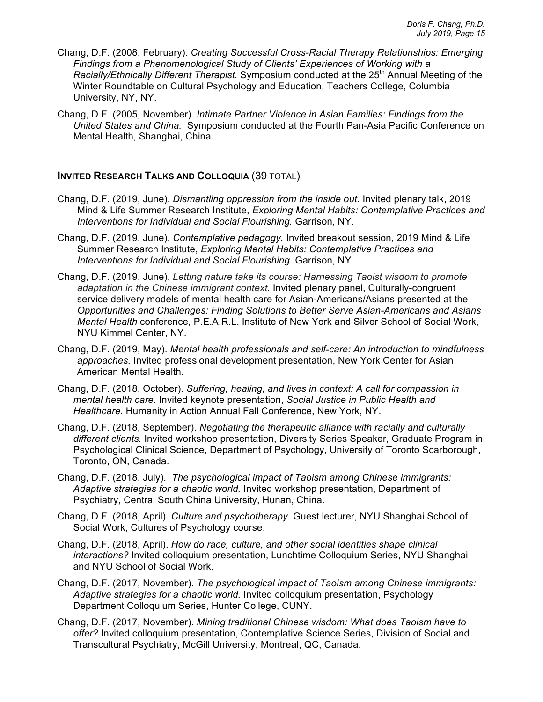- Chang, D.F. (2008, February). *Creating Successful Cross-Racial Therapy Relationships: Emerging Findings from a Phenomenological Study of Clients' Experiences of Working with a Racially/Ethnically Different Therapist.* Symposium conducted at the 25<sup>th</sup> Annual Meeting of the Winter Roundtable on Cultural Psychology and Education, Teachers College, Columbia University, NY, NY.
- Chang, D.F. (2005, November). *Intimate Partner Violence in Asian Families: Findings from the United States and China.* Symposium conducted at the Fourth Pan-Asia Pacific Conference on Mental Health, Shanghai, China.

### **INVITED RESEARCH TALKS AND COLLOQUIA** (39 TOTAL)

- Chang, D.F. (2019, June). *Dismantling oppression from the inside out.* Invited plenary talk, 2019 Mind & Life Summer Research Institute, *Exploring Mental Habits: Contemplative Practices and Interventions for Individual and Social Flourishing.* Garrison, NY.
- Chang, D.F. (2019, June). *Contemplative pedagogy.* Invited breakout session, 2019 Mind & Life Summer Research Institute, *Exploring Mental Habits: Contemplative Practices and Interventions for Individual and Social Flourishing.* Garrison, NY.
- Chang, D.F. (2019, June). *Letting nature take its course: Harnessing Taoist wisdom to promote adaptation in the Chinese immigrant context.* Invited plenary panel, Culturally-congruent service delivery models of mental health care for Asian-Americans/Asians presented at the *Opportunities and Challenges: Finding Solutions to Better Serve Asian-Americans and Asians Mental Health* conference*,* P.E.A.R.L. Institute of New York and Silver School of Social Work, NYU Kimmel Center, NY.
- Chang, D.F. (2019, May). *Mental health professionals and self-care: An introduction to mindfulness approaches.* Invited professional development presentation, New York Center for Asian American Mental Health.
- Chang, D.F. (2018, October). *Suffering, healing, and lives in context: A call for compassion in mental health care.* Invited keynote presentation, *Social Justice in Public Health and Healthcare.* Humanity in Action Annual Fall Conference, New York, NY.
- Chang, D.F. (2018, September). *Negotiating the therapeutic alliance with racially and culturally different clients.* Invited workshop presentation, Diversity Series Speaker, Graduate Program in Psychological Clinical Science, Department of Psychology, University of Toronto Scarborough, Toronto, ON, Canada.
- Chang, D.F. (2018, July). *The psychological impact of Taoism among Chinese immigrants: Adaptive strategies for a chaotic world.* Invited workshop presentation, Department of Psychiatry, Central South China University, Hunan, China.
- Chang, D.F. (2018, April). *Culture and psychotherapy.* Guest lecturer, NYU Shanghai School of Social Work, Cultures of Psychology course.
- Chang, D.F. (2018, April). *How do race, culture, and other social identities shape clinical interactions?* Invited colloquium presentation, Lunchtime Colloquium Series, NYU Shanghai and NYU School of Social Work.
- Chang, D.F. (2017, November). *The psychological impact of Taoism among Chinese immigrants: Adaptive strategies for a chaotic world.* Invited colloquium presentation, Psychology Department Colloquium Series, Hunter College, CUNY.
- Chang, D.F. (2017, November). *Mining traditional Chinese wisdom: What does Taoism have to offer?* Invited colloquium presentation, Contemplative Science Series, Division of Social and Transcultural Psychiatry, McGill University, Montreal, QC, Canada.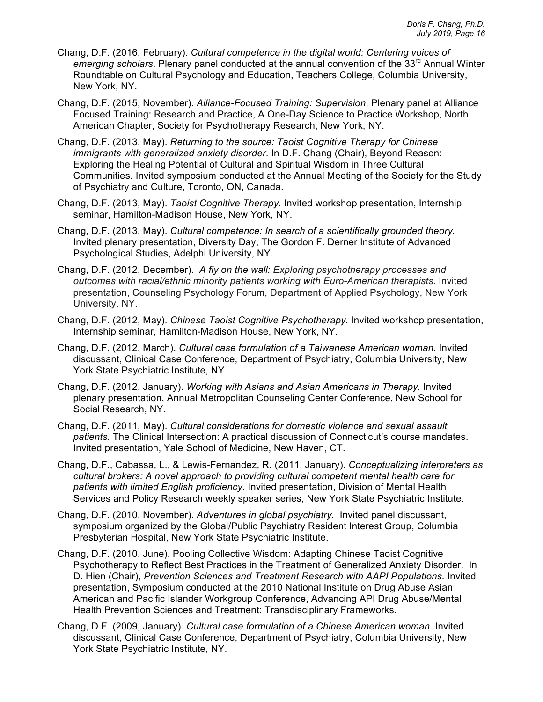- Chang, D.F. (2016, February). *Cultural competence in the digital world: Centering voices of emerging scholars*. Plenary panel conducted at the annual convention of the 33rd Annual Winter Roundtable on Cultural Psychology and Education, Teachers College, Columbia University, New York, NY.
- Chang, D.F. (2015, November). *Alliance-Focused Training: Supervision*. Plenary panel at Alliance Focused Training: Research and Practice, A One-Day Science to Practice Workshop, North American Chapter, Society for Psychotherapy Research, New York, NY.
- Chang, D.F. (2013, May). *Returning to the source: Taoist Cognitive Therapy for Chinese immigrants with generalized anxiety disorder*. In D.F. Chang (Chair), Beyond Reason: Exploring the Healing Potential of Cultural and Spiritual Wisdom in Three Cultural Communities. Invited symposium conducted at the Annual Meeting of the Society for the Study of Psychiatry and Culture, Toronto, ON, Canada.
- Chang, D.F. (2013, May). *Taoist Cognitive Therapy.* Invited workshop presentation, Internship seminar, Hamilton-Madison House, New York, NY.
- Chang, D.F. (2013, May). *Cultural competence: In search of a scientifically grounded theory.*  Invited plenary presentation, Diversity Day, The Gordon F. Derner Institute of Advanced Psychological Studies, Adelphi University, NY.
- Chang, D.F. (2012, December). *A fly on the wall: Exploring psychotherapy processes and outcomes with racial/ethnic minority patients working with Euro-American therapists.* Invited presentation, Counseling Psychology Forum, Department of Applied Psychology, New York University, NY.
- Chang, D.F. (2012, May). *Chinese Taoist Cognitive Psychotherapy.* Invited workshop presentation, Internship seminar, Hamilton-Madison House, New York, NY.
- Chang, D.F. (2012, March). *Cultural case formulation of a Taiwanese American woman*. Invited discussant, Clinical Case Conference, Department of Psychiatry, Columbia University, New York State Psychiatric Institute, NY
- Chang, D.F. (2012, January). *Working with Asians and Asian Americans in Therapy.* Invited plenary presentation, Annual Metropolitan Counseling Center Conference, New School for Social Research, NY.
- Chang, D.F. (2011, May). *Cultural considerations for domestic violence and sexual assault patients.* The Clinical Intersection: A practical discussion of Connecticut's course mandates. Invited presentation, Yale School of Medicine, New Haven, CT.
- Chang, D.F., Cabassa, L., & Lewis-Fernandez, R. (2011, January). *Conceptualizing interpreters as cultural brokers: A novel approach to providing cultural competent mental health care for patients with limited English proficiency*. Invited presentation, Division of Mental Health Services and Policy Research weekly speaker series, New York State Psychiatric Institute.
- Chang, D.F. (2010, November). *Adventures in global psychiatry.* Invited panel discussant, symposium organized by the Global/Public Psychiatry Resident Interest Group, Columbia Presbyterian Hospital, New York State Psychiatric Institute.
- Chang, D.F. (2010, June). Pooling Collective Wisdom: Adapting Chinese Taoist Cognitive Psychotherapy to Reflect Best Practices in the Treatment of Generalized Anxiety Disorder. In D. Hien (Chair), *Prevention Sciences and Treatment Research with AAPI Populations.* Invited presentation, Symposium conducted at the 2010 National Institute on Drug Abuse Asian American and Pacific Islander Workgroup Conference, Advancing API Drug Abuse/Mental Health Prevention Sciences and Treatment: Transdisciplinary Frameworks.
- Chang, D.F. (2009, January). *Cultural case formulation of a Chinese American woman*. Invited discussant, Clinical Case Conference, Department of Psychiatry, Columbia University, New York State Psychiatric Institute, NY.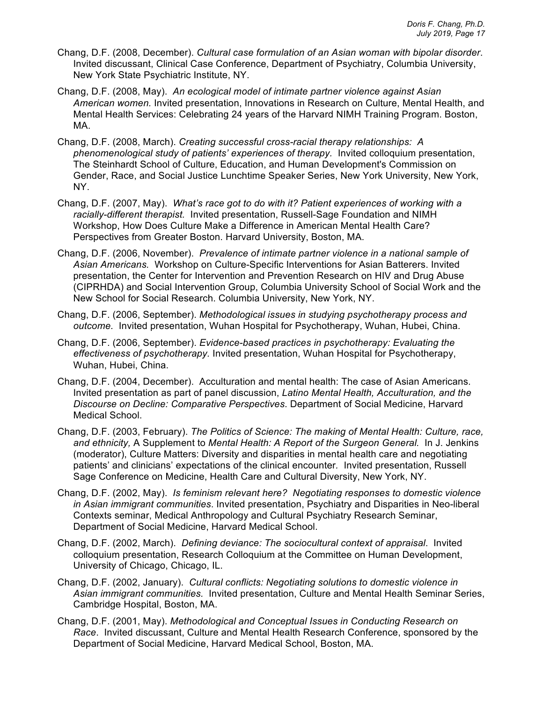- Chang, D.F. (2008, December). *Cultural case formulation of an Asian woman with bipolar disorder*. Invited discussant, Clinical Case Conference, Department of Psychiatry, Columbia University, New York State Psychiatric Institute, NY.
- Chang, D.F. (2008, May). *An ecological model of intimate partner violence against Asian American women.* Invited presentation, Innovations in Research on Culture, Mental Health, and Mental Health Services: Celebrating 24 years of the Harvard NIMH Training Program. Boston, MA.
- Chang, D.F. (2008, March). *Creating successful cross-racial therapy relationships: A phenomenological study of patients' experiences of therapy.* Invited colloquium presentation, The Steinhardt School of Culture, Education, and Human Development's Commission on Gender, Race, and Social Justice Lunchtime Speaker Series, New York University, New York, NY.
- Chang, D.F. (2007, May). *What's race got to do with it? Patient experiences of working with a racially-different therapist.* Invited presentation, Russell-Sage Foundation and NIMH Workshop, How Does Culture Make a Difference in American Mental Health Care? Perspectives from Greater Boston. Harvard University, Boston, MA.
- Chang, D.F. (2006, November). *Prevalence of intimate partner violence in a national sample of Asian Americans.* Workshop on Culture-Specific Interventions for Asian Batterers. Invited presentation, the Center for Intervention and Prevention Research on HIV and Drug Abuse (CIPRHDA) and Social Intervention Group, Columbia University School of Social Work and the New School for Social Research. Columbia University, New York, NY.
- Chang, D.F. (2006, September). *Methodological issues in studying psychotherapy process and outcome.* Invited presentation, Wuhan Hospital for Psychotherapy, Wuhan, Hubei, China.
- Chang, D.F. (2006, September). *Evidence-based practices in psychotherapy: Evaluating the effectiveness of psychotherapy.* Invited presentation, Wuhan Hospital for Psychotherapy, Wuhan, Hubei, China.
- Chang, D.F. (2004, December). Acculturation and mental health: The case of Asian Americans. Invited presentation as part of panel discussion, *Latino Mental Health, Acculturation, and the Discourse on Decline: Comparative Perspectives*. Department of Social Medicine, Harvard Medical School.
- Chang, D.F. (2003, February). *The Politics of Science: The making of Mental Health: Culture, race, and ethnicity,* A Supplement to *Mental Health: A Report of the Surgeon General.* In J. Jenkins (moderator), Culture Matters: Diversity and disparities in mental health care and negotiating patients' and clinicians' expectations of the clinical encounter*.* Invited presentation, Russell Sage Conference on Medicine, Health Care and Cultural Diversity, New York, NY.
- Chang, D.F. (2002, May). *Is feminism relevant here? Negotiating responses to domestic violence in Asian immigrant communities*. Invited presentation, Psychiatry and Disparities in Neo-liberal Contexts seminar, Medical Anthropology and Cultural Psychiatry Research Seminar, Department of Social Medicine, Harvard Medical School.
- Chang, D.F. (2002, March). *Defining deviance: The sociocultural context of appraisal*. Invited colloquium presentation, Research Colloquium at the Committee on Human Development, University of Chicago, Chicago, IL.
- Chang, D.F. (2002, January). *Cultural conflicts: Negotiating solutions to domestic violence in Asian immigrant communities.* Invited presentation, Culture and Mental Health Seminar Series, Cambridge Hospital, Boston, MA.
- Chang, D.F. (2001, May). *Methodological and Conceptual Issues in Conducting Research on Race*. Invited discussant, Culture and Mental Health Research Conference, sponsored by the Department of Social Medicine, Harvard Medical School, Boston, MA.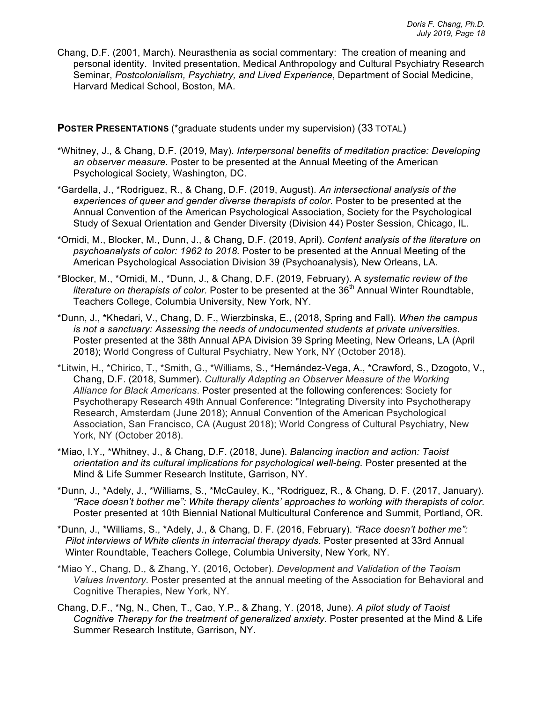Chang, D.F. (2001, March). Neurasthenia as social commentary: The creation of meaning and personal identity. Invited presentation, Medical Anthropology and Cultural Psychiatry Research Seminar, *Postcolonialism, Psychiatry, and Lived Experience*, Department of Social Medicine, Harvard Medical School, Boston, MA.

### **POSTER PRESENTATIONS** (\*graduate students under my supervision) (33 TOTAL)

- \*Whitney, J., & Chang, D.F. (2019, May). *Interpersonal benefits of meditation practice: Developing an observer measure.* Poster to be presented at the Annual Meeting of the American Psychological Society, Washington, DC.
- \*Gardella, J., \*Rodriguez, R., & Chang, D.F. (2019, August). *An intersectional analysis of the*  experiences of queer and gender diverse therapists of color. Poster to be presented at the Annual Convention of the American Psychological Association, Society for the Psychological Study of Sexual Orientation and Gender Diversity (Division 44) Poster Session, Chicago, IL.
- \*Omidi, M., Blocker, M., Dunn, J., & Chang, D.F. (2019, April). *Content analysis of the literature on psychoanalysts of color: 1962 to 2018.* Poster to be presented at the Annual Meeting of the American Psychological Association Division 39 (Psychoanalysis)*,* New Orleans, LA.
- \*Blocker, M., \*Omidi, M., \*Dunn, J., & Chang, D.F. (2019, February). A *systematic review of the*  literature on therapists of color. Poster to be presented at the 36<sup>th</sup> Annual Winter Roundtable. Teachers College, Columbia University, New York, NY.
- \*Dunn, J., **\***Khedari, V., Chang, D. F., Wierzbinska, E., (2018, Spring and Fall). *When the campus is not a sanctuary: Assessing the needs of undocumented students at private universities*. Poster presented at the 38th Annual APA Division 39 Spring Meeting, New Orleans, LA (April 2018); World Congress of Cultural Psychiatry, New York, NY (October 2018).
- \*Litwin, H., \*Chirico, T., \*Smith, G., \*Williams, S., \*Hernández-Vega, A., \*Crawford, S., Dzogoto, V., Chang, D.F. (2018, Summer). *Culturally Adapting an Observer Measure of the Working Alliance for Black Americans*. Poster presented at the following conferences: Society for Psychotherapy Research 49th Annual Conference: "Integrating Diversity into Psychotherapy Research, Amsterdam (June 2018); Annual Convention of the American Psychological Association, San Francisco, CA (August 2018); World Congress of Cultural Psychiatry, New York, NY (October 2018).
- \*Miao, I.Y., \*Whitney, J., & Chang, D.F. (2018, June). *Balancing inaction and action: Taoist orientation and its cultural implications for psychological well-being.* Poster presented at the Mind & Life Summer Research Institute, Garrison, NY.
- \*Dunn, J., \*Adely, J., \*Williams, S., \*McCauley, K., \*Rodriguez, R., & Chang, D. F. (2017, January). *"Race doesn't bother me": White therapy clients' approaches to working with therapists of color.*  Poster presented at 10th Biennial National Multicultural Conference and Summit, Portland, OR.
- \*Dunn, J., \*Williams, S., \*Adely, J., & Chang, D. F. (2016, February). *"Race doesn't bother me":*  Pilot interviews of White clients in interracial therapy dyads. Poster presented at 33rd Annual Winter Roundtable, Teachers College, Columbia University, New York, NY.
- \*Miao Y., Chang, D., & Zhang, Y. (2016, October). *Development and Validation of the Taoism Values Inventory.* Poster presented at the annual meeting of the Association for Behavioral and Cognitive Therapies, New York, NY.
- Chang, D.F., \*Ng, N., Chen, T., Cao, Y.P., & Zhang, Y. (2018, June). *A pilot study of Taoist Cognitive Therapy for the treatment of generalized anxiety.* Poster presented at the Mind & Life Summer Research Institute, Garrison, NY.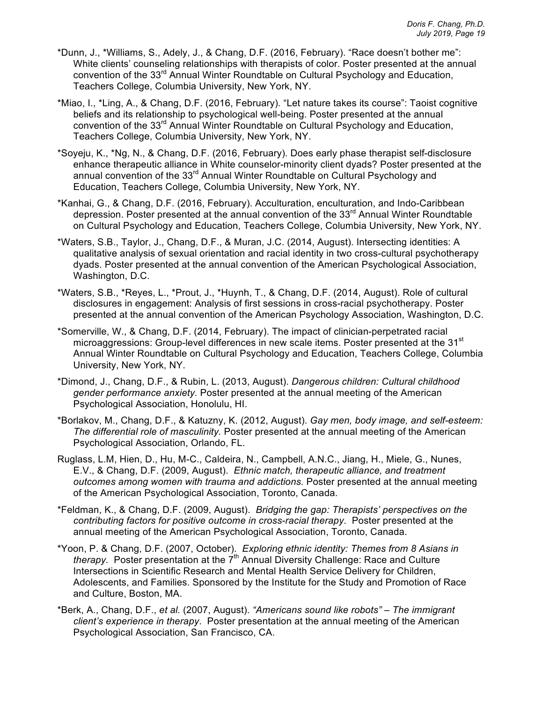- \*Dunn, J., \*Williams, S., Adely, J., & Chang, D.F. (2016, February). "Race doesn't bother me": White clients' counseling relationships with therapists of color. Poster presented at the annual convention of the 33rd Annual Winter Roundtable on Cultural Psychology and Education, Teachers College, Columbia University, New York, NY.
- \*Miao, I., \*Ling, A., & Chang, D.F. (2016, February). "Let nature takes its course": Taoist cognitive beliefs and its relationship to psychological well-being. Poster presented at the annual convention of the 33rd Annual Winter Roundtable on Cultural Psychology and Education, Teachers College, Columbia University, New York, NY.
- \*Soyeju, K., \*Ng, N., & Chang, D.F. (2016, February). Does early phase therapist self-disclosure enhance therapeutic alliance in White counselor-minority client dyads? Poster presented at the annual convention of the 33<sup>rd</sup> Annual Winter Roundtable on Cultural Psychology and Education, Teachers College, Columbia University, New York, NY.
- \*Kanhai, G., & Chang, D.F. (2016, February). Acculturation, enculturation, and Indo-Caribbean depression. Poster presented at the annual convention of the  $33<sup>rd</sup>$  Annual Winter Roundtable on Cultural Psychology and Education, Teachers College, Columbia University, New York, NY.
- \*Waters, S.B., Taylor, J., Chang, D.F., & Muran, J.C. (2014, August). Intersecting identities: A qualitative analysis of sexual orientation and racial identity in two cross-cultural psychotherapy dyads. Poster presented at the annual convention of the American Psychological Association, Washington, D.C.
- \*Waters, S.B., \*Reyes, L., \*Prout, J., \*Huynh, T., & Chang, D.F. (2014, August). Role of cultural disclosures in engagement: Analysis of first sessions in cross-racial psychotherapy. Poster presented at the annual convention of the American Psychology Association, Washington, D.C.
- \*Somerville, W., & Chang, D.F. (2014, February). The impact of clinician-perpetrated racial microaggressions: Group-level differences in new scale items. Poster presented at the 31<sup>st</sup> Annual Winter Roundtable on Cultural Psychology and Education, Teachers College, Columbia University, New York, NY.
- \*Dimond, J., Chang, D.F., & Rubin, L. (2013, August). *Dangerous children: Cultural childhood gender performance anxiety.* Poster presented at the annual meeting of the American Psychological Association, Honolulu, HI.
- \*Borlakov, M., Chang, D.F., & Katuzny, K. (2012, August). *Gay men, body image, and self-esteem: The differential role of masculinity.* Poster presented at the annual meeting of the American Psychological Association, Orlando, FL.
- Ruglass, L.M, Hien, D., Hu, M-C., Caldeira, N., Campbell, A.N.C., Jiang, H., Miele, G., Nunes, E.V., & Chang, D.F. (2009, August). *Ethnic match, therapeutic alliance, and treatment outcomes among women with trauma and addictions.* Poster presented at the annual meeting of the American Psychological Association, Toronto, Canada.
- \*Feldman, K., & Chang, D.F. (2009, August). *Bridging the gap: Therapists' perspectives on the contributing factors for positive outcome in cross-racial therapy*. Poster presented at the annual meeting of the American Psychological Association, Toronto, Canada.
- \*Yoon, P. & Chang, D.F. (2007, October). *Exploring ethnic identity: Themes from 8 Asians in therapy.* Poster presentation at the 7<sup>th</sup> Annual Diversity Challenge: Race and Culture Intersections in Scientific Research and Mental Health Service Delivery for Children, Adolescents, and Families. Sponsored by the Institute for the Study and Promotion of Race and Culture, Boston, MA.
- \*Berk, A., Chang, D.F., *et al.* (2007, August). *"Americans sound like robots" – The immigrant client's experience in therapy*. Poster presentation at the annual meeting of the American Psychological Association, San Francisco, CA.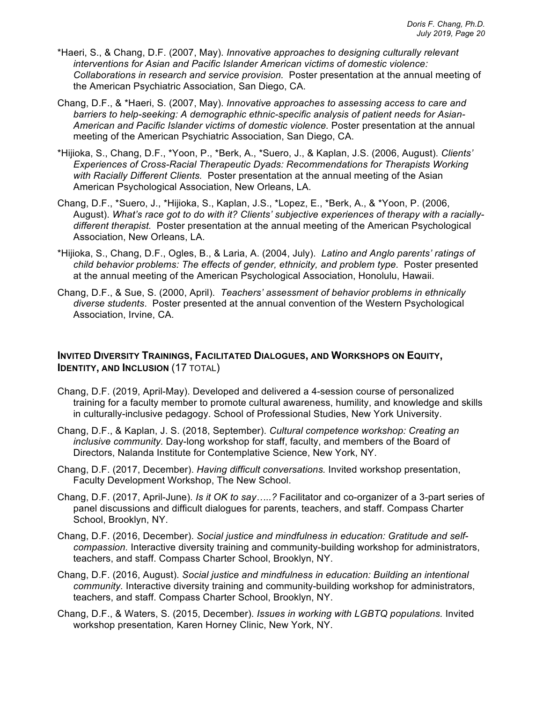- \*Haeri, S., & Chang, D.F. (2007, May). *Innovative approaches to designing culturally relevant interventions for Asian and Pacific Islander American victims of domestic violence: Collaborations in research and service provision.* Poster presentation at the annual meeting of the American Psychiatric Association, San Diego, CA.
- Chang, D.F., & \*Haeri, S. (2007, May). *Innovative approaches to assessing access to care and barriers to help-seeking: A demographic ethnic-specific analysis of patient needs for Asian-American and Pacific Islander victims of domestic violence.* Poster presentation at the annual meeting of the American Psychiatric Association, San Diego, CA.
- \*Hijioka, S., Chang, D.F., \*Yoon, P., \*Berk, A., \*Suero, J., & Kaplan, J.S. (2006, August). *Clients' Experiences of Cross-Racial Therapeutic Dyads: Recommendations for Therapists Working with Racially Different Clients.* Poster presentation at the annual meeting of the Asian American Psychological Association, New Orleans, LA.
- Chang, D.F., \*Suero, J., \*Hijioka, S., Kaplan, J.S., \*Lopez, E., \*Berk, A., & \*Yoon, P. (2006, August). *What's race got to do with it? Clients' subjective experiences of therapy with a raciallydifferent therapist.* Poster presentation at the annual meeting of the American Psychological Association, New Orleans, LA.
- \*Hijioka, S., Chang, D.F., Ogles, B., & Laria, A. (2004, July). *Latino and Anglo parents' ratings of child behavior problems: The effects of gender, ethnicity, and problem type.* Poster presented at the annual meeting of the American Psychological Association, Honolulu, Hawaii.
- Chang, D.F., & Sue, S. (2000, April). *Teachers' assessment of behavior problems in ethnically diverse students*. Poster presented at the annual convention of the Western Psychological Association, Irvine, CA.

## **INVITED DIVERSITY TRAININGS, FACILITATED DIALOGUES, AND WORKSHOPS ON EQUITY, IDENTITY, AND INCLUSION (17 TOTAL)**

- Chang, D.F. (2019, April-May). Developed and delivered a 4-session course of personalized training for a faculty member to promote cultural awareness, humility, and knowledge and skills in culturally-inclusive pedagogy. School of Professional Studies, New York University.
- Chang, D.F., & Kaplan, J. S. (2018, September). *Cultural competence workshop: Creating an inclusive community.* Day-long workshop for staff, faculty, and members of the Board of Directors, Nalanda Institute for Contemplative Science, New York, NY.
- Chang, D.F. (2017, December). *Having difficult conversations.* Invited workshop presentation, Faculty Development Workshop, The New School.
- Chang, D.F. (2017, April-June). *Is it OK to say…..?* Facilitator and co-organizer of a 3-part series of panel discussions and difficult dialogues for parents, teachers, and staff. Compass Charter School, Brooklyn, NY.
- Chang, D.F. (2016, December). *Social justice and mindfulness in education: Gratitude and selfcompassion.* Interactive diversity training and community-building workshop for administrators, teachers, and staff. Compass Charter School, Brooklyn, NY.
- Chang, D.F. (2016, August). *Social justice and mindfulness in education: Building an intentional community.* Interactive diversity training and community-building workshop for administrators, teachers, and staff. Compass Charter School, Brooklyn, NY.
- Chang, D.F., & Waters, S. (2015, December). *Issues in working with LGBTQ populations.* Invited workshop presentation*,* Karen Horney Clinic, New York, NY.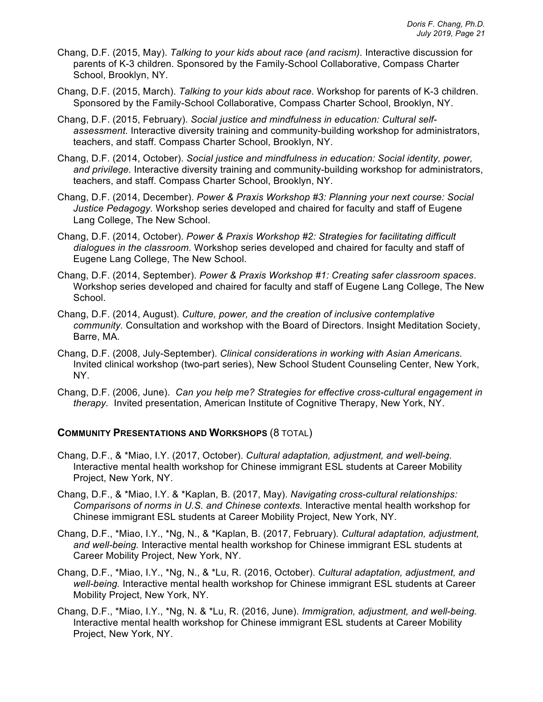- Chang, D.F. (2015, May). *Talking to your kids about race (and racism).* Interactive discussion for parents of K-3 children. Sponsored by the Family-School Collaborative, Compass Charter School, Brooklyn, NY.
- Chang, D.F. (2015, March). *Talking to your kids about race.* Workshop for parents of K-3 children. Sponsored by the Family-School Collaborative, Compass Charter School, Brooklyn, NY.
- Chang, D.F. (2015, February). *Social justice and mindfulness in education: Cultural selfassessment.* Interactive diversity training and community-building workshop for administrators, teachers, and staff. Compass Charter School, Brooklyn, NY.
- Chang, D.F. (2014, October). *Social justice and mindfulness in education: Social identity, power, and privilege.* Interactive diversity training and community-building workshop for administrators, teachers, and staff. Compass Charter School, Brooklyn, NY.
- Chang, D.F. (2014, December). *Power & Praxis Workshop #3: Planning your next course: Social Justice Pedagogy.* Workshop series developed and chaired for faculty and staff of Eugene Lang College, The New School.
- Chang, D.F. (2014, October). *Power & Praxis Workshop #2: Strategies for facilitating difficult dialogues in the classroom.* Workshop series developed and chaired for faculty and staff of Eugene Lang College, The New School.
- Chang, D.F. (2014, September). *Power & Praxis Workshop #1: Creating safer classroom spaces*. Workshop series developed and chaired for faculty and staff of Eugene Lang College, The New School.
- Chang, D.F. (2014, August). *Culture, power, and the creation of inclusive contemplative community.* Consultation and workshop with the Board of Directors. Insight Meditation Society, Barre, MA.
- Chang, D.F. (2008, July-September). *Clinical considerations in working with Asian Americans.* Invited clinical workshop (two-part series), New School Student Counseling Center, New York, NY.
- Chang, D.F. (2006, June). *Can you help me? Strategies for effective cross-cultural engagement in therapy.* Invited presentation, American Institute of Cognitive Therapy, New York, NY.

#### **COMMUNITY PRESENTATIONS AND WORKSHOPS** (8 TOTAL)

- Chang, D.F., & \*Miao, I.Y. (2017, October). *Cultural adaptation, adjustment, and well-being.* Interactive mental health workshop for Chinese immigrant ESL students at Career Mobility Project, New York, NY.
- Chang, D.F., & \*Miao, I.Y. & \*Kaplan, B. (2017, May). *Navigating cross-cultural relationships: Comparisons of norms in U.S. and Chinese contexts.* Interactive mental health workshop for Chinese immigrant ESL students at Career Mobility Project, New York, NY.
- Chang, D.F., \*Miao, I.Y., \*Ng, N., & \*Kaplan, B. (2017, February). *Cultural adaptation, adjustment, and well-being.* Interactive mental health workshop for Chinese immigrant ESL students at Career Mobility Project, New York, NY.
- Chang, D.F., \*Miao, I.Y., \*Ng, N., & \*Lu, R. (2016, October). *Cultural adaptation, adjustment, and well-being.* Interactive mental health workshop for Chinese immigrant ESL students at Career Mobility Project, New York, NY.
- Chang, D.F., \*Miao, I.Y., \*Ng, N. & \*Lu, R. (2016, June). *Immigration, adjustment, and well-being.* Interactive mental health workshop for Chinese immigrant ESL students at Career Mobility Project, New York, NY.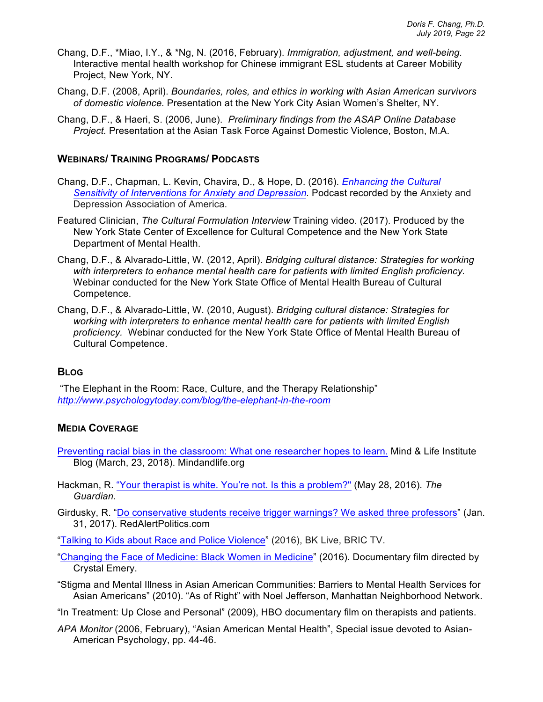- Chang, D.F., \*Miao, I.Y., & \*Ng, N. (2016, February). *Immigration, adjustment, and well-being.* Interactive mental health workshop for Chinese immigrant ESL students at Career Mobility Project, New York, NY.
- Chang, D.F. (2008, April). *Boundaries, roles, and ethics in working with Asian American survivors of domestic violence.* Presentation at the New York City Asian Women's Shelter, NY.
- Chang, D.F., & Haeri, S. (2006, June). *Preliminary findings from the ASAP Online Database Project.* Presentation at the Asian Task Force Against Domestic Violence, Boston, M.A.

#### **WEBINARS/ TRAINING PROGRAMS/ PODCASTS**

- Chang, D.F., Chapman, L. Kevin, Chavira, D., & Hope, D. (2016). *Enhancing the Cultural*  Sensitivity of Interventions for Anxiety and Depression. Podcast recorded by the Anxiety and Depression Association of America.
- Featured Clinician, *The Cultural Formulation Interview* Training video. (2017). Produced by the New York State Center of Excellence for Cultural Competence and the New York State Department of Mental Health.
- Chang, D.F., & Alvarado-Little, W. (2012, April). *Bridging cultural distance: Strategies for working with interpreters to enhance mental health care for patients with limited English proficiency.*  Webinar conducted for the New York State Office of Mental Health Bureau of Cultural Competence.
- Chang, D.F., & Alvarado-Little, W. (2010, August). *Bridging cultural distance: Strategies for working with interpreters to enhance mental health care for patients with limited English proficiency.* Webinar conducted for the New York State Office of Mental Health Bureau of Cultural Competence.

### **BLOG**

"The Elephant in the Room: Race, Culture, and the Therapy Relationship" *http://www.psychologytoday.com/blog/the-elephant-in-the-room*

#### **MEDIA COVERAGE**

- Preventing racial bias in the classroom: What one researcher hopes to learn. Mind & Life Institute Blog (March, 23, 2018). Mindandlife.org
- Hackman, R. "Your therapist is white. You're not. Is this a problem?" (May 28, 2016). *The Guardian.*
- Girdusky, R. "Do conservative students receive trigger warnings? We asked three professors" (Jan. 31, 2017). RedAlertPolitics.com
- "Talking to Kids about Race and Police Violence" (2016), BK Live, BRIC TV.
- "Changing the Face of Medicine: Black Women in Medicine" (2016). Documentary film directed by Crystal Emery.
- "Stigma and Mental Illness in Asian American Communities: Barriers to Mental Health Services for Asian Americans" (2010). "As of Right" with Noel Jefferson, Manhattan Neighborhood Network.
- "In Treatment: Up Close and Personal" (2009), HBO documentary film on therapists and patients.
- *APA Monitor* (2006, February), "Asian American Mental Health", Special issue devoted to Asian-American Psychology, pp. 44-46.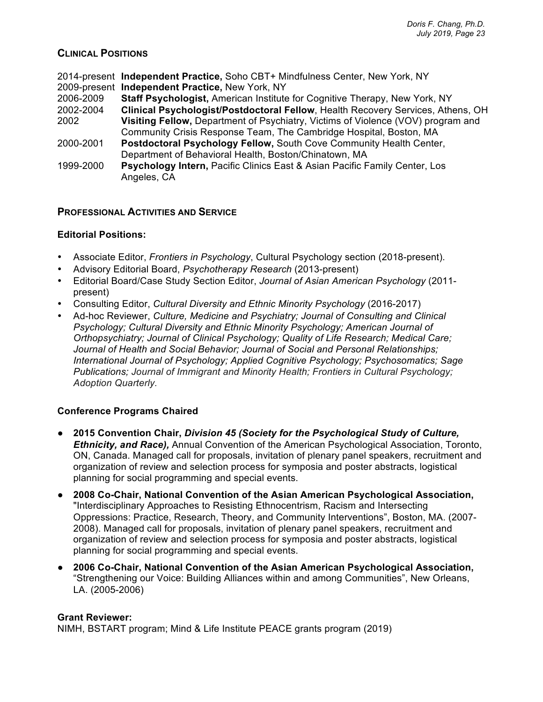## **CLINICAL POSITIONS**

|           | 2014-present Independent Practice, Soho CBT+ Mindfulness Center, New York, NY         |
|-----------|---------------------------------------------------------------------------------------|
|           | 2009-present Independent Practice, New York, NY                                       |
| 2006-2009 | Staff Psychologist, American Institute for Cognitive Therapy, New York, NY            |
| 2002-2004 | Clinical Psychologist/Postdoctoral Fellow, Health Recovery Services, Athens, OH       |
| 2002      | Visiting Fellow, Department of Psychiatry, Victims of Violence (VOV) program and      |
|           | Community Crisis Response Team, The Cambridge Hospital, Boston, MA                    |
| 2000-2001 | Postdoctoral Psychology Fellow, South Cove Community Health Center,                   |
|           | Department of Behavioral Health, Boston/Chinatown, MA                                 |
| 1999-2000 | <b>Psychology Intern, Pacific Clinics East &amp; Asian Pacific Family Center, Los</b> |
|           | Angeles, CA                                                                           |

## **PROFESSIONAL ACTIVITIES AND SERVICE**

### **Editorial Positions:**

- Associate Editor, *Frontiers in Psychology*, Cultural Psychology section (2018-present).
- Advisory Editorial Board, *Psychotherapy Research* (2013-present)
- Editorial Board/Case Study Section Editor, *Journal of Asian American Psychology* (2011 present)
- Consulting Editor, *Cultural Diversity and Ethnic Minority Psychology* (2016-2017)
- Ad-hoc Reviewer, *Culture, Medicine and Psychiatry; Journal of Consulting and Clinical Psychology; Cultural Diversity and Ethnic Minority Psychology; American Journal of Orthopsychiatry; Journal of Clinical Psychology; Quality of Life Research; Medical Care; Journal of Health and Social Behavior; Journal of Social and Personal Relationships; International Journal of Psychology; Applied Cognitive Psychology; Psychosomatics; Sage Publications; Journal of Immigrant and Minority Health; Frontiers in Cultural Psychology; Adoption Quarterly.*

### **Conference Programs Chaired**

- **2015 Convention Chair,** *Division 45 (Society for the Psychological Study of Culture, Ethnicity, and Race),* Annual Convention of the American Psychological Association, Toronto, ON, Canada. Managed call for proposals, invitation of plenary panel speakers, recruitment and organization of review and selection process for symposia and poster abstracts, logistical planning for social programming and special events.
- **2008 Co-Chair, National Convention of the Asian American Psychological Association,** "Interdisciplinary Approaches to Resisting Ethnocentrism, Racism and Intersecting Oppressions: Practice, Research, Theory, and Community Interventions", Boston, MA. (2007- 2008). Managed call for proposals, invitation of plenary panel speakers, recruitment and organization of review and selection process for symposia and poster abstracts, logistical planning for social programming and special events.
- **2006 Co-Chair, National Convention of the Asian American Psychological Association,**  "Strengthening our Voice: Building Alliances within and among Communities", New Orleans, LA. (2005-2006)

#### **Grant Reviewer:**

NIMH, BSTART program; Mind & Life Institute PEACE grants program (2019)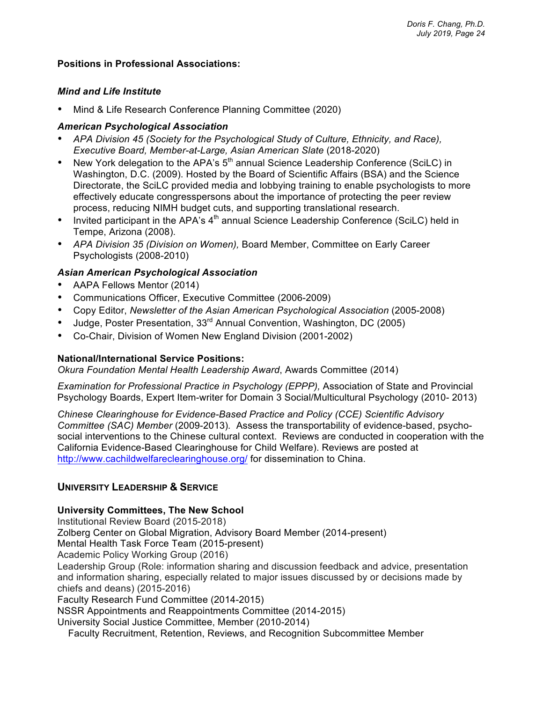### **Positions in Professional Associations:**

### *Mind and Life Institute*

• Mind & Life Research Conference Planning Committee (2020)

### *American Psychological Association*

- *APA Division 45 (Society for the Psychological Study of Culture, Ethnicity, and Race), Executive Board, Member-at-Large, Asian American Slate* (2018-2020)
- New York delegation to the APA's  $5<sup>th</sup>$  annual Science Leadership Conference (SciLC) in Washington, D.C. (2009). Hosted by the Board of Scientific Affairs (BSA) and the Science Directorate, the SciLC provided media and lobbying training to enable psychologists to more effectively educate congresspersons about the importance of protecting the peer review process, reducing NIMH budget cuts, and supporting translational research.
- Invited participant in the APA's  $4<sup>th</sup>$  annual Science Leadership Conference (SciLC) held in Tempe, Arizona (2008).
- *APA Division 35 (Division on Women),* Board Member, Committee on Early Career Psychologists (2008-2010)

### *Asian American Psychological Association*

- AAPA Fellows Mentor (2014)
- Communications Officer, Executive Committee (2006-2009)
- Copy Editor, *Newsletter of the Asian American Psychological Association* (2005-2008)
- Judge, Poster Presentation, 33<sup>rd</sup> Annual Convention, Washington, DC (2005)
- Co-Chair, Division of Women New England Division (2001-2002)

#### **National/International Service Positions:**

*Okura Foundation Mental Health Leadership Award*, Awards Committee (2014)

*Examination for Professional Practice in Psychology (EPPP),* Association of State and Provincial Psychology Boards, Expert Item-writer for Domain 3 Social/Multicultural Psychology (2010- 2013)

*Chinese Clearinghouse for Evidence-Based Practice and Policy (CCE) Scientific Advisory Committee (SAC) Member* (2009-2013)*.* Assess the transportability of evidence-based, psychosocial interventions to the Chinese cultural context. Reviews are conducted in cooperation with the California Evidence-Based Clearinghouse for Child Welfare). Reviews are posted at http://www.cachildwelfareclearinghouse.org/ for dissemination to China.

### **UNIVERSITY LEADERSHIP & SERVICE**

#### **University Committees, The New School**

Institutional Review Board (2015-2018) Zolberg Center on Global Migration, Advisory Board Member (2014-present) Mental Health Task Force Team (2015-present) Academic Policy Working Group (2016) Leadership Group (Role: information sharing and discussion feedback and advice, presentation and information sharing, especially related to major issues discussed by or decisions made by chiefs and deans) (2015-2016) Faculty Research Fund Committee (2014-2015) NSSR Appointments and Reappointments Committee (2014-2015) University Social Justice Committee, Member (2010-2014)

Faculty Recruitment, Retention, Reviews, and Recognition Subcommittee Member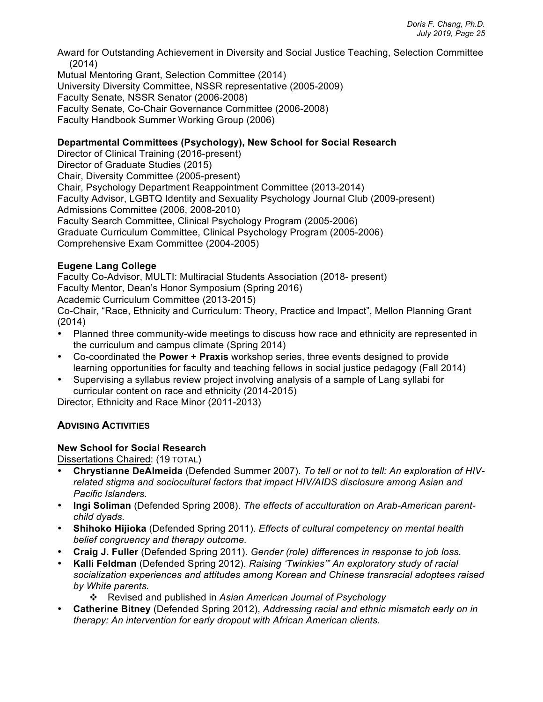Award for Outstanding Achievement in Diversity and Social Justice Teaching, Selection Committee (2014)

Mutual Mentoring Grant, Selection Committee (2014) University Diversity Committee, NSSR representative (2005-2009) Faculty Senate, NSSR Senator (2006-2008) Faculty Senate, Co-Chair Governance Committee (2006-2008) Faculty Handbook Summer Working Group (2006)

## **Departmental Committees (Psychology), New School for Social Research**

Director of Clinical Training (2016-present) Director of Graduate Studies (2015) Chair, Diversity Committee (2005-present) Chair, Psychology Department Reappointment Committee (2013-2014) Faculty Advisor, LGBTQ Identity and Sexuality Psychology Journal Club (2009-present) Admissions Committee (2006, 2008-2010) Faculty Search Committee, Clinical Psychology Program (2005-2006) Graduate Curriculum Committee, Clinical Psychology Program (2005-2006) Comprehensive Exam Committee (2004-2005)

## **Eugene Lang College**

Faculty Co-Advisor, MULTI: Multiracial Students Association (2018- present) Faculty Mentor, Dean's Honor Symposium (Spring 2016) Academic Curriculum Committee (2013-2015)

Co-Chair, "Race, Ethnicity and Curriculum: Theory, Practice and Impact", Mellon Planning Grant (2014)

- Planned three community-wide meetings to discuss how race and ethnicity are represented in the curriculum and campus climate (Spring 2014)
- Co-coordinated the **Power + Praxis** workshop series, three events designed to provide learning opportunities for faculty and teaching fellows in social justice pedagogy (Fall 2014)
- Supervising a syllabus review project involving analysis of a sample of Lang syllabi for curricular content on race and ethnicity (2014-2015)

Director, Ethnicity and Race Minor (2011-2013)

# **ADVISING ACTIVITIES**

### **New School for Social Research**

Dissertations Chaired: (19 TOTAL)

- **Chrystianne DeAlmeida** (Defended Summer 2007). *To tell or not to tell: An exploration of HIVrelated stigma and sociocultural factors that impact HIV/AIDS disclosure among Asian and Pacific Islanders.*
- **Ingi Soliman** (Defended Spring 2008). *The effects of acculturation on Arab-American parentchild dyads.*
- **Shihoko Hijioka** (Defended Spring 2011). *Effects of cultural competency on mental health belief congruency and therapy outcome.*
- **Craig J. Fuller** (Defended Spring 2011). *Gender (role) differences in response to job loss.*
- **Kalli Feldman** (Defended Spring 2012). *Raising 'Twinkies'" An exploratory study of racial socialization experiences and attitudes among Korean and Chinese transracial adoptees raised by White parents.*
	- v Revised and published in *Asian American Journal of Psychology*
- **Catherine Bitney** (Defended Spring 2012), *Addressing racial and ethnic mismatch early on in therapy: An intervention for early dropout with African American clients.*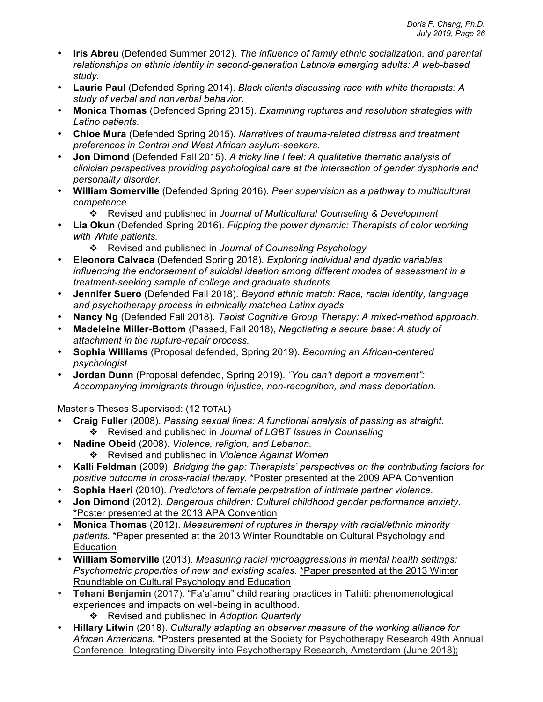- **Iris Abreu** (Defended Summer 2012). *The influence of family ethnic socialization, and parental relationships on ethnic identity in second-generation Latino/a emerging adults: A web-based study.*
- **Laurie Paul** (Defended Spring 2014). *Black clients discussing race with white therapists: A study of verbal and nonverbal behavior.*
- **Monica Thomas** (Defended Spring 2015). *Examining ruptures and resolution strategies with Latino patients.*
- **Chloe Mura** (Defended Spring 2015). *Narratives of trauma-related distress and treatment preferences in Central and West African asylum-seekers.*
- **Jon Dimond** (Defended Fall 2015). *A tricky line I feel: A qualitative thematic analysis of clinician perspectives providing psychological care at the intersection of gender dysphoria and personality disorder.*
- **William Somerville** (Defended Spring 2016). *Peer supervision as a pathway to multicultural competence.*
	- v Revised and published in *Journal of Multicultural Counseling & Development*
- **Lia Okun** (Defended Spring 2016). *Flipping the power dynamic: Therapists of color working with White patients.*
	- v Revised and published in *Journal of Counseling Psychology*
- **Eleonora Calvaca** (Defended Spring 2018). *Exploring individual and dyadic variables influencing the endorsement of suicidal ideation among different modes of assessment in a treatment-seeking sample of college and graduate students.*
- **Jennifer Suero** (Defended Fall 2018). *Beyond ethnic match: Race, racial identity, language and psychotherapy process in ethnically matched Latinx dyads.*
- **Nancy Ng** (Defended Fall 2018). *Taoist Cognitive Group Therapy: A mixed-method approach.*
- **Madeleine Miller-Bottom** (Passed, Fall 2018), *Negotiating a secure base: A study of attachment in the rupture-repair process.*
- **Sophia Williams** (Proposal defended, Spring 2019). *Becoming an African-centered psychologist.*
- **Jordan Dunn** (Proposal defended, Spring 2019). *"You can't deport a movement": Accompanying immigrants through injustice, non-recognition, and mass deportation.*

Master's Theses Supervised: (12 TOTAL)

- **Craig Fuller** (2008). *Passing sexual lines: A functional analysis of passing as straight.* v Revised and published in *Journal of LGBT Issues in Counseling*
- **Nadine Obeid** (2008). *Violence, religion, and Lebanon.* v Revised and published in *Violence Against Women*
- **Kalli Feldman** (2009). *Bridging the gap: Therapists' perspectives on the contributing factors for positive outcome in cross-racial therapy.* \*Poster presented at the 2009 APA Convention
- **Sophia Haeri** (2010). *Predictors of female perpetration of intimate partner violence.*
- **Jon Dimond** (2012). *Dangerous children: Cultural childhood gender performance anxiety.*  \*Poster presented at the 2013 APA Convention
- **Monica Thomas** (2012). *Measurement of ruptures in therapy with racial/ethnic minority patients.* \*Paper presented at the 2013 Winter Roundtable on Cultural Psychology and **Education**
- **William Somerville** (2013). *Measuring racial microaggressions in mental health settings: Psychometric properties of new and existing scales.* \*Paper presented at the 2013 Winter Roundtable on Cultural Psychology and Education
- **Tehani Benjamin** (2017). "Fa'a'amu" child rearing practices in Tahiti: phenomenological experiences and impacts on well-being in adulthood.
	- v Revised and published in *Adoption Quarterly*
- **Hillary Litwin** (2018). *Culturally adapting an observer measure of the working alliance for African Americans.* **\***Posters presented at the Society for Psychotherapy Research 49th Annual Conference: Integrating Diversity into Psychotherapy Research, Amsterdam (June 2018);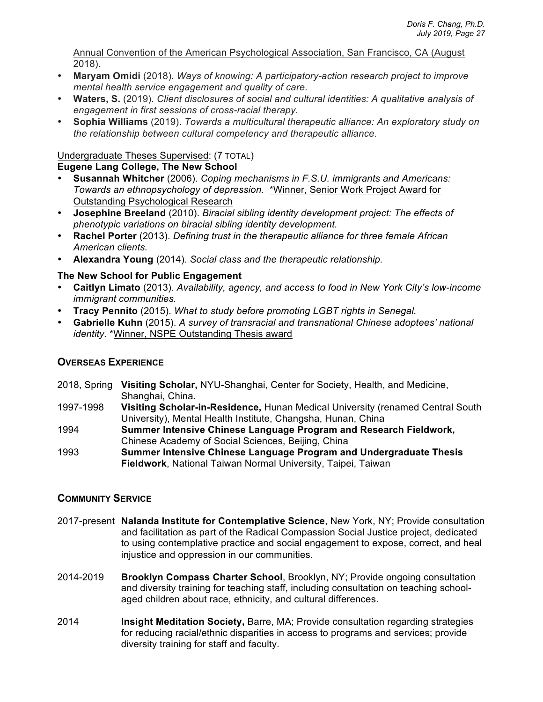Annual Convention of the American Psychological Association, San Francisco, CA (August 2018).

- **Maryam Omidi** (2018). *Ways of knowing: A participatory-action research project to improve mental health service engagement and quality of care*.
- **Waters, S.** (2019). *Client disclosures of social and cultural identities: A qualitative analysis of engagement in first sessions of cross-racial therapy.*
- **Sophia Williams** (2019). *Towards a multicultural therapeutic alliance: An exploratory study on the relationship between cultural competency and therapeutic alliance.*

# Undergraduate Theses Supervised: (7 TOTAL)

# **Eugene Lang College, The New School**

- **Susannah Whitcher** (2006). *Coping mechanisms in F.S.U. immigrants and Americans: Towards an ethnopsychology of depression.* \*Winner, Senior Work Project Award for Outstanding Psychological Research
- **Josephine Breeland** (2010). *Biracial sibling identity development project: The effects of phenotypic variations on biracial sibling identity development.*
- **Rachel Porter** (2013). *Defining trust in the therapeutic alliance for three female African American clients.*
- **Alexandra Young** (2014). *Social class and the therapeutic relationship.*

# **The New School for Public Engagement**

- **Caitlyn Limato** (2013). *Availability, agency, and access to food in New York City's low-income immigrant communities.*
- **Tracy Pennito** (2015). *What to study before promoting LGBT rights in Senegal.*
- **Gabrielle Kuhn** (2015). *A survey of transracial and transnational Chinese adoptees' national identity.* \*Winner, NSPE Outstanding Thesis award

# **OVERSEAS EXPERIENCE**

- 2018, Spring **Visiting Scholar,** NYU-Shanghai, Center for Society, Health, and Medicine, Shanghai, China.
- 1997-1998 **Visiting Scholar-in-Residence,** Hunan Medical University (renamed Central South University), Mental Health Institute, Changsha, Hunan, China
- 1994 **Summer Intensive Chinese Language Program and Research Fieldwork,**  Chinese Academy of Social Sciences, Beijing, China
- 1993 **Summer Intensive Chinese Language Program and Undergraduate Thesis Fieldwork**, National Taiwan Normal University, Taipei, Taiwan

# **COMMUNITY SERVICE**

- 2017-present **Nalanda Institute for Contemplative Science**, New York, NY; Provide consultation and facilitation as part of the Radical Compassion Social Justice project, dedicated to using contemplative practice and social engagement to expose, correct, and heal injustice and oppression in our communities.
- 2014-2019 **Brooklyn Compass Charter School**, Brooklyn, NY; Provide ongoing consultation and diversity training for teaching staff, including consultation on teaching schoolaged children about race, ethnicity, and cultural differences.
- 2014 **Insight Meditation Society,** Barre, MA; Provide consultation regarding strategies for reducing racial/ethnic disparities in access to programs and services; provide diversity training for staff and faculty.